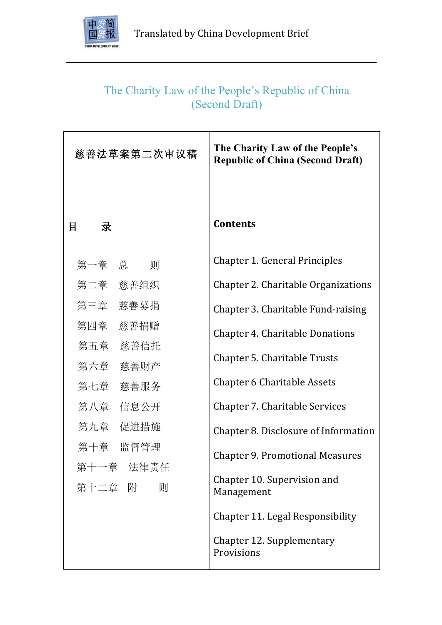

# The Charity Law of the People's Republic of China (Second Draft)

| 慈善法草案第二次审议稿             | The Charity Law of the People's<br><b>Republic of China (Second Draft)</b> |
|-------------------------|----------------------------------------------------------------------------|
| 目<br>录                  | <b>Contents</b>                                                            |
| 第一章 总 则                 | <b>Chapter 1. General Principles</b>                                       |
| 第二章 慈善组织                | Chapter 2. Charitable Organizations                                        |
| 第三章 慈善募捐                | Chapter 3. Charitable Fund-raising                                         |
| 第四章<br>慈善捐赠             | <b>Chapter 4. Charitable Donations</b>                                     |
| 第五章 慈善信托                | Chapter 5. Charitable Trusts                                               |
| 第六章 慈善财产                | <b>Chapter 6 Charitable Assets</b>                                         |
| 第七章 慈善服务                |                                                                            |
| 第八章<br>信息公开<br>第九章 促进措施 | Chapter 7. Charitable Services                                             |
| 第十章 监督管理                | Chapter 8. Disclosure of Information                                       |
| 第十一章<br>法律责任            | <b>Chapter 9. Promotional Measures</b>                                     |
| 第十二章 附<br>则             | Chapter 10. Supervision and<br>Management                                  |
|                         | <b>Chapter 11. Legal Responsibility</b>                                    |
|                         | Chapter 12. Supplementary<br>Provisions                                    |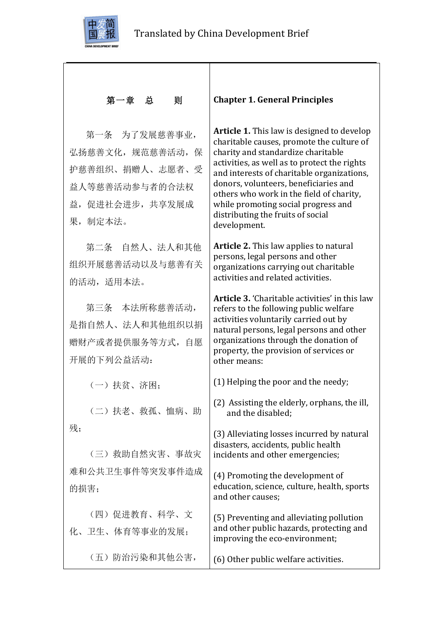

# 第一章 总 则

第一条 为了发展慈善事业, 弘扬慈善文化,规范慈善活动,保 护慈善组织、捐赠人、志愿者、受 益人等慈善活动参与者的合法权 益,促进社会进步,共享发展成 果,制定本法。

第二条 自然人、法人和其他 组织开展慈善活动以及与慈善有关 的活动,适用本法。

第三条 本法所称慈善活动, 是指自然人、法人和其他组织以捐 赠财产或者提供服务等方式,自愿 开展的下列公益活动:

(一)扶贫、济困;

(二)扶老、救孤、恤病、助 残;

(三)救助自然灾害、事故灾 难和公共卫生事件等突发事件造成 的损害;

(四)促进教育、科学、文 化、卫生、体育等事业的发展;

(五)防治污染和其他公害,

#### **Chapter 1. General Principles**

Article 1. This law is designed to develop charitable causes, promote the culture of charity and standardize charitable activities, as well as to protect the rights and interests of charitable organizations, donors, volunteers, beneficiaries and others who work in the field of charity. while promoting social progress and distributing the fruits of social development.

**Article 2.** This law applies to natural persons, legal persons and other organizations carrying out charitable activities and related activities.

**Article 3.** 'Charitable activities' in this law refers to the following public welfare activities voluntarily carried out by natural persons, legal persons and other organizations through the donation of property, the provision of services or other means:

 $(1)$  Helping the poor and the needy;

(2) Assisting the elderly, orphans, the ill, and the disabled:

(3) Alleviating losses incurred by natural disasters, accidents, public health incidents and other emergencies;

(4) Promoting the development of education, science, culture, health, sports and other causes:

(5) Preventing and alleviating pollution and other public hazards, protecting and improving the eco-environment;

(6) Other public welfare activities.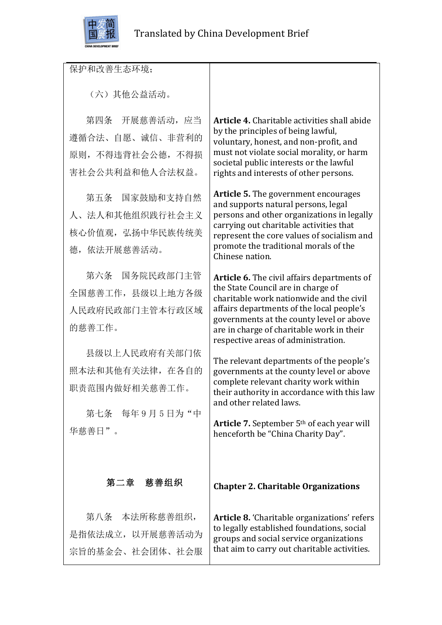

保护和改善生态环境;

(六)其他公益活动。

第四条 开展慈善活动, 应当 遵循合法、自愿、诚信、非营利的 原则,不得违背社会公德,不得损 害社会公共利益和他人合法权益。

第五条 国家鼓励和支持自然 人、法人和其他组织践行社会主义 核心价值观, 弘扬中华民族传统美 德,依法开展慈善活动。

第六条 国务院民政部门主管 全国慈善工作,县级以上地方各级 人民政府民政部门主管本行政区域 的慈善工作。

县级以上人民政府有关部门依 照本法和其他有关法律,在各自的 职责范围内做好相关慈善工作。

第七条 每年9月5日为"中 华慈善日"。

**Article 4.** Charitable activities shall abide by the principles of being lawful, voluntary, honest, and non-profit, and must not violate social morality, or harm societal public interests or the lawful rights and interests of other persons.

**Article 5.** The government encourages and supports natural persons, legal persons and other organizations in legally carrying out charitable activities that represent the core values of socialism and promote the traditional morals of the Chinese nation.

**Article 6.** The civil affairs departments of the State Council are in charge of charitable work nationwide and the civil affairs departments of the local people's governments at the county level or above are in charge of charitable work in their respective areas of administration.

The relevant departments of the people's governments at the county level or above complete relevant charity work within their authority in accordance with this law and other related laws.

**Article 7.** September 5<sup>th</sup> of each year will henceforth be "China Charity Day".

### 第二章 慈善组织

第八条 本法所称慈善组织, 是指依法成立,以开展慈善活动为 宗旨的基金会、社会团体、社会服 **Chapter 2. Charitable Organizations**

**Article 8.** 'Charitable organizations' refers to legally established foundations, social groups and social service organizations that aim to carry out charitable activities.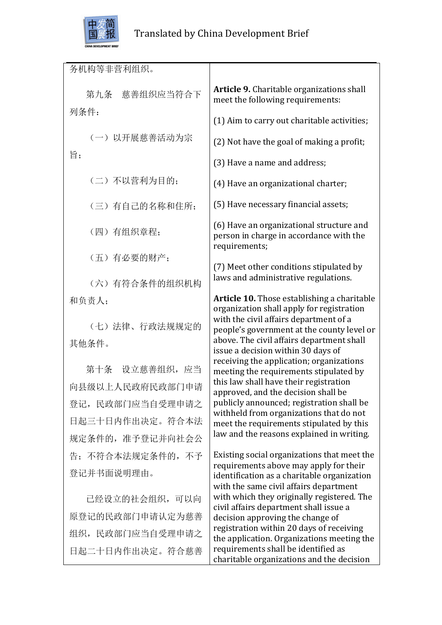

务机构等非营利组织。 第九条 慈善组织应当符合下 列条件: (一)以开展慈善活动为宗 旨; (二)不以营利为目的; (三)有自己的名称和住所; (四)有组织章程; (五)有必要的财产; (六)有符合条件的组织机构 和负责人; (七)法律、行政法规规定的 其他条件。 第十条 设立慈善组织,应当 向县级以上人民政府民政部门申请 登记,民政部门应当自受理申请之 日起三十日内作出决定。符合本法 规定条件的,准予登记并向社会公 告;不符合本法规定条件的,不予 登记并书面说明理由。 已经设立的社会组织,可以向 原登记的民政部门申请认定为慈善 组织,民政部门应当自受理申请之 Article 9. Charitable organizations shall meet the following requirements: (1) Aim to carry out charitable activities; (2) Not have the goal of making a profit; (3) Have a name and address: (4) Have an organizational charter; (5) Have necessary financial assets: (6) Have an organizational structure and person in charge in accordance with the requirements; (7) Meet other conditions stipulated by laws and administrative regulations. **Article 10.** Those establishing a charitable organization shall apply for registration with the civil affairs department of a people's government at the county level or above. The civil affairs department shall issue a decision within 30 days of receiving the application; organizations meeting the requirements stipulated by this law shall have their registration approved, and the decision shall be publicly announced; registration shall be withheld from organizations that do not meet the requirements stipulated by this law and the reasons explained in writing. Existing social organizations that meet the requirements above may apply for their identification as a charitable organization with the same civil affairs department with which they originally registered. The civil affairs department shall issue a decision approving the change of registration within 20 days of receiving the application. Organizations meeting the

requirements shall be identified as

charitable organizations and the decision

日起二十日内作出决定。符合慈善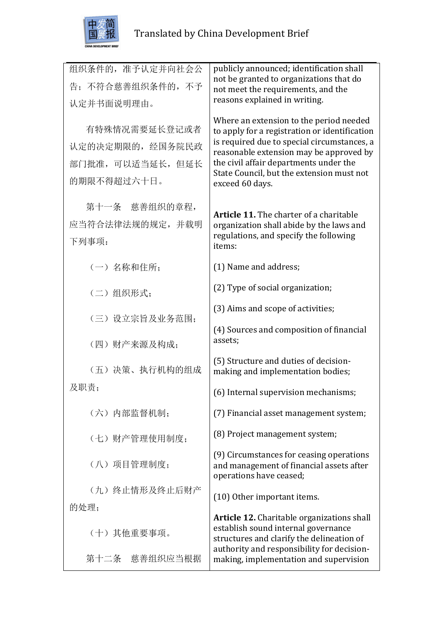

| 组织条件的, 准予认定并向社会公<br>告;不符合慈善组织条件的,不予<br>认定并书面说明理由。                   | publicly announced; identification shall<br>not be granted to organizations that do<br>not meet the requirements, and the<br>reasons explained in writing.                                                                                                                                   |
|---------------------------------------------------------------------|----------------------------------------------------------------------------------------------------------------------------------------------------------------------------------------------------------------------------------------------------------------------------------------------|
| 有特殊情况需要延长登记或者<br>认定的决定期限的, 经国务院民政<br>部门批准,可以适当延长,但延长<br>的期限不得超过六十日。 | Where an extension to the period needed<br>to apply for a registration or identification<br>is required due to special circumstances, a<br>reasonable extension may be approved by<br>the civil affair departments under the<br>State Council, but the extension must not<br>exceed 60 days. |
| 第十一条 慈善组织的章程,<br>应当符合法律法规的规定,并载明<br>下列事项:                           | <b>Article 11.</b> The charter of a charitable<br>organization shall abide by the laws and<br>regulations, and specify the following<br>items:                                                                                                                                               |
| (一) 名称和住所:                                                          | (1) Name and address;                                                                                                                                                                                                                                                                        |
| (二)组织形式;                                                            | (2) Type of social organization;                                                                                                                                                                                                                                                             |
| (三) 设立宗旨及业务范围;                                                      | (3) Aims and scope of activities;                                                                                                                                                                                                                                                            |
| (四) 财产来源及构成;                                                        | (4) Sources and composition of financial<br>assets;                                                                                                                                                                                                                                          |
| (五)决策、执行机构的组成                                                       | (5) Structure and duties of decision-<br>making and implementation bodies;                                                                                                                                                                                                                   |
| 及职责;                                                                | (6) Internal supervision mechanisms;                                                                                                                                                                                                                                                         |
| (六) 内部监督机制;                                                         | (7) Financial asset management system;                                                                                                                                                                                                                                                       |
| (七)财产管理使用制度;                                                        | (8) Project management system;                                                                                                                                                                                                                                                               |
| (八) 项目管理制度:                                                         | (9) Circumstances for ceasing operations<br>and management of financial assets after<br>operations have ceased;                                                                                                                                                                              |
| (九) 终止情形及终止后财产                                                      | (10) Other important items.                                                                                                                                                                                                                                                                  |
| 的处理;                                                                | <b>Article 12.</b> Charitable organizations shall                                                                                                                                                                                                                                            |
| (十)其他重要事项。                                                          | establish sound internal governance<br>structures and clarify the delineation of<br>authority and responsibility for decision-                                                                                                                                                               |
| 第十二条 慈善组织应当根据                                                       | making, implementation and supervision                                                                                                                                                                                                                                                       |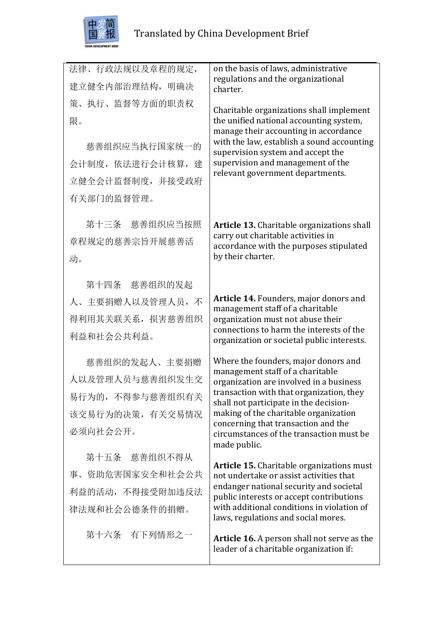

| 法律、行政法规以及章程的规定,   | on the basis of laws, administrative                                                                                     |
|-------------------|--------------------------------------------------------------------------------------------------------------------------|
| 建立健全内部治理结构, 明确决   | regulations and the organizational<br>charter.                                                                           |
| 策、执行、监督等方面的职责权    | Charitable organizations shall implement                                                                                 |
| 限。                | the unified national accounting system,                                                                                  |
| 慈善组织应当执行国家统一的     | manage their accounting in accordance<br>with the law, establish a sound accounting<br>supervision system and accept the |
| 会计制度, 依法进行会计核算, 建 | supervision and management of the                                                                                        |
| 立健全会计监督制度, 并接受政府  | relevant government departments.                                                                                         |
| 有关部门的监督管理。        |                                                                                                                          |
|                   |                                                                                                                          |
| 第十三条 慈善组织应当按照     | Article 13. Charitable organizations shall<br>carry out charitable activities in                                         |
| 章程规定的慈善宗旨开展慈善活    | accordance with the purposes stipulated                                                                                  |
| 动。                | by their charter.                                                                                                        |
| 第十四条 慈善组织的发起      |                                                                                                                          |
| 人、主要捐赠人以及管理人员, 不  | Article 14. Founders, major donors and                                                                                   |
| 得利用其关联关系, 损害慈善组织  | management staff of a charitable<br>organization must not abuse their                                                    |
| 利益和社会公共利益。        | connections to harm the interests of the<br>organization or societal public interests.                                   |
|                   |                                                                                                                          |
| 慈善组织的发起人、主要捐赠     | Where the founders, major donors and<br>management staff of a charitable                                                 |
| 人以及管理人员与慈善组织发生交   | organization are involved in a business<br>transaction with that organization, they                                      |
| 易行为的, 不得参与慈善组织有关  | shall not participate in the decision-                                                                                   |
| 该交易行为的决策, 有关交易情况  | making of the charitable organization<br>concerning that transaction and the                                             |
| 必须向社会公开。          | circumstances of the transaction must be<br>made public.                                                                 |
| 第十五条 慈善组织不得从      |                                                                                                                          |
| 事、资助危害国家安全和社会公共   | <b>Article 15.</b> Charitable organizations must<br>not undertake or assist activities that                              |
| 利益的活动, 不得接受附加违反法  | endanger national security and societal<br>public interests or accept contributions                                      |
| 律法规和社会公德条件的捐赠。    | with additional conditions in violation of<br>laws, regulations and social mores.                                        |
| 第十六条 有下列情形之一      | Article 16. A person shall not serve as the<br>leader of a charitable organization if:                                   |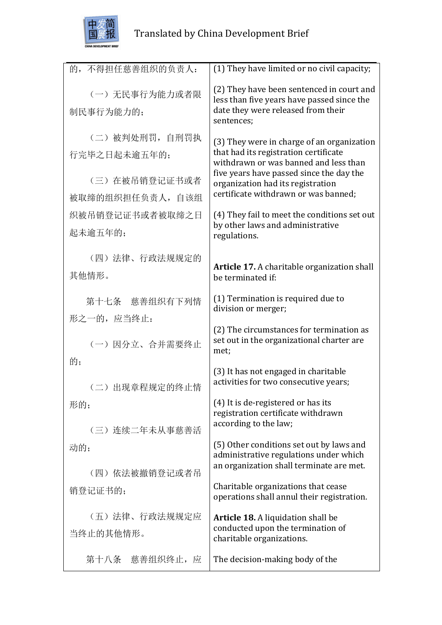

| 的,不得担任慈善组织的负责人:                                                       | (1) They have limited or no civil capacity;                                                                                                                                                                                                           |
|-----------------------------------------------------------------------|-------------------------------------------------------------------------------------------------------------------------------------------------------------------------------------------------------------------------------------------------------|
| (一) 无民事行为能力或者限<br>制民事行为能力的;                                           | (2) They have been sentenced in court and<br>less than five years have passed since the<br>date they were released from their<br>sentences;                                                                                                           |
| (二) 被判处刑罚, 自刑罚执<br>行完毕之日起未逾五年的;<br>(三) 在被吊销登记证书或者<br>被取缔的组织担任负责人, 自该组 | (3) They were in charge of an organization<br>that had its registration certificate<br>withdrawn or was banned and less than<br>five years have passed since the day the<br>organization had its registration<br>certificate withdrawn or was banned; |
| 织被吊销登记证书或者被取缔之日<br>起未逾五年的;                                            | (4) They fail to meet the conditions set out<br>by other laws and administrative<br>regulations.                                                                                                                                                      |
| (四) 法律、行政法规规定的<br>其他情形。                                               | Article 17. A charitable organization shall<br>be terminated if:                                                                                                                                                                                      |
| 第十七条 慈善组织有下列情<br>形之一的,应当终止:                                           | (1) Termination is required due to<br>division or merger;                                                                                                                                                                                             |
| (一) 因分立、合并需要终止                                                        | (2) The circumstances for termination as<br>set out in the organizational charter are<br>met;                                                                                                                                                         |
| 的:<br>(二) 出现章程规定的终止情                                                  | (3) It has not engaged in charitable<br>activities for two consecutive years;                                                                                                                                                                         |
| 形的;<br>(三) 连续二年未从事慈善活                                                 | (4) It is de-registered or has its<br>registration certificate withdrawn<br>according to the law;                                                                                                                                                     |
| 动的;                                                                   | (5) Other conditions set out by laws and<br>administrative regulations under which<br>an organization shall terminate are met.                                                                                                                        |
| (四) 依法被撤销登记或者吊<br>销登记证书的;                                             | Charitable organizations that cease<br>operations shall annul their registration.                                                                                                                                                                     |
| (五) 法律、行政法规规定应<br>当终止的其他情形。                                           | Article 18. A liquidation shall be<br>conducted upon the termination of<br>charitable organizations.                                                                                                                                                  |
| 第十八条 慈善组织终止,应                                                         | The decision-making body of the                                                                                                                                                                                                                       |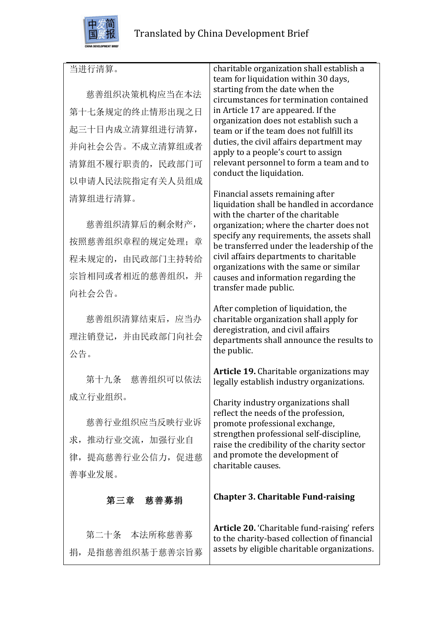

### 当进行清算。

慈善组织决策机构应当在本法 第十七条规定的终止情形出现之日 起三十日内成立清算组进行清算, 并向社会公告。不成立清算组或者 清算组不履行职责的,民政部门可 以申请人民法院指定有关人员组成 清算组进行清算。

慈善组织清算后的剩余财产, 按照慈善组织章程的规定处理; 章 程未规定的,由民政部门主持转给 宗旨相同或者相近的慈善组织,并 向社会公告。

慈善组织清算结束后,应当办 理注销登记,并由民政部门向社会 公告。

第十九条 慈善组织可以依法 成立行业组织。

慈善行业组织应当反映行业诉 求,推动行业交流,加强行业自 律,提高慈善行业公信力,促进慈 善事业发展。

### 第三章 慈善募捐

第二十条 本法所称慈善募 捐,是指慈善组织基于慈善宗旨募 charitable organization shall establish a team for liquidation within 30 days, starting from the date when the circumstances for termination contained in Article 17 are appeared. If the organization does not establish such a team or if the team does not fulfill its duties, the civil affairs department may apply to a people's court to assign relevant personnel to form a team and to conduct the liquidation.

Financial assets remaining after liquidation shall be handled in accordance with the charter of the charitable organization: where the charter does not specify any requirements, the assets shall be transferred under the leadership of the civil affairs departments to charitable organizations with the same or similar causes and information regarding the transfer made public.

After completion of liquidation, the charitable organization shall apply for deregistration, and civil affairs departments shall announce the results to the public.

**Article 19.** Charitable organizations may legally establish industry organizations.

Charity industry organizations shall reflect the needs of the profession, promote professional exchange, strengthen professional self-discipline, raise the credibility of the charity sector and promote the development of charitable causes.

#### **Chapter 3. Charitable Fund-raising**

Article 20. 'Charitable fund-raising' refers to the charity-based collection of financial assets by eligible charitable organizations.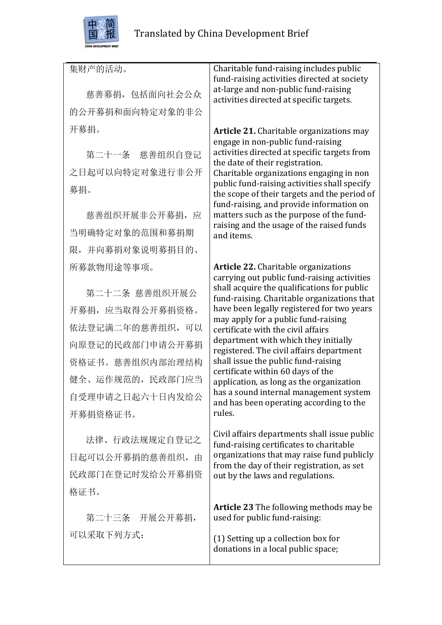

集财产的活动。 慈善募捐,包括面向社会公众 的公开募捐和面向特定对象的非公 开募捐。 第二十一条 慈善组织自登记 之日起可以向特定对象进行非公开 募捐。 慈善组织开展非公开募捐, 应 当明确特定对象的范围和募捐期 限,并向募捐对象说明募捐目的、 所募款物用途等事项。 第二十二条 慈善组织开展公 开募捐,应当取得公开募捐资格。 依法登记满二年的慈善组织,可以 向原登记的民政部门申请公开募捐 资格证书。慈善组织内部治理结构 健全、运作规范的,民政部门应当 自受理申请之日起六十日内发给公 开募捐资格证书。 法律、行政法规规定自登记之 日起可以公开募捐的慈善组织,由 民政部门在登记时发给公开募捐资 格证书。 第二十三条 开展公开募捐, 可以采取下列方式: Charitable fund-raising includes public fund-raising activities directed at society at-large and non-public fund-raising activities directed at specific targets. Article 21. Charitable organizations may engage in non-public fund-raising activities directed at specific targets from the date of their registration. Charitable organizations engaging in non public fund-raising activities shall specify the scope of their targets and the period of fund-raising, and provide information on matters such as the purpose of the fundraising and the usage of the raised funds and items. **Article 22.** Charitable organizations carrying out public fund-raising activities shall acquire the qualifications for public fund-raising. Charitable organizations that have been legally registered for two years may apply for a public fund-raising certificate with the civil affairs department with which they initially registered. The civil affairs department shall issue the public fund-raising certificate within 60 days of the application, as long as the organization has a sound internal management system and has been operating according to the rules. Civil affairs departments shall issue public fund-raising certificates to charitable organizations that may raise fund publicly from the day of their registration, as set out by the laws and regulations. **Article 23** The following methods may be used for public fund-raising:

 $(1)$  Setting up a collection box for donations in a local public space;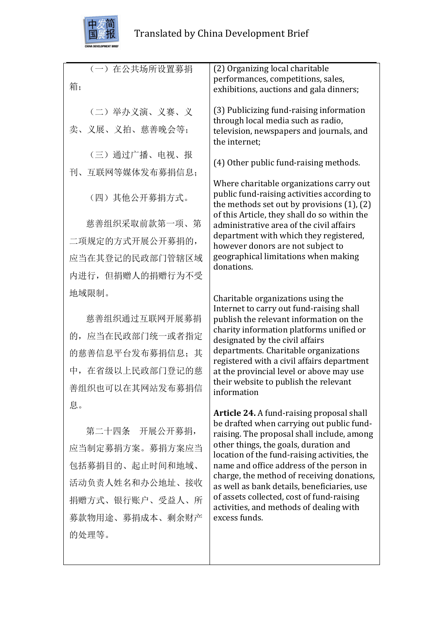

| (一) 在公共场所设置募捐<br>箱;             | (2) Organizing local charitable<br>performances, competitions, sales,<br>exhibitions, auctions and gala dinners;                            |
|---------------------------------|---------------------------------------------------------------------------------------------------------------------------------------------|
| (二) 举办义演、义赛、义<br>卖、义展、义拍、慈善晚会等; | (3) Publicizing fund-raising information<br>through local media such as radio,<br>television, newspapers and journals, and<br>the internet; |
| (三) 通过广播、电视、报                   | (4) Other public fund-raising methods.                                                                                                      |
| 刊、互联网等媒体发布募捐信息;                 | Where charitable organizations carry out                                                                                                    |
| (四)其他公开募捐方式。                    | public fund-raising activities according to<br>the methods set out by provisions $(1)$ , $(2)$                                              |
| 慈善组织采取前款第一项、第                   | of this Article, they shall do so within the<br>administrative area of the civil affairs                                                    |
| 二项规定的方式开展公开募捐的,                 | department with which they registered,<br>however donors are not subject to                                                                 |
| 应当在其登记的民政部门管辖区域                 | geographical limitations when making<br>donations.                                                                                          |
| 内进行,但捐赠人的捐赠行为不受                 |                                                                                                                                             |
| 地域限制。                           | Charitable organizations using the                                                                                                          |
| 慈善组织通过互联网开展募捐                   | Internet to carry out fund-raising shall<br>publish the relevant information on the                                                         |
| 的, 应当在民政部门统一或者指定                | charity information platforms unified or<br>designated by the civil affairs                                                                 |
| 的慈善信息平台发布募捐信息: 其                | departments. Charitable organizations<br>registered with a civil affairs department                                                         |
| 中, 在省级以上民政部门登记的慈                | at the provincial level or above may use<br>their website to publish the relevant                                                           |
| 善组织也可以在其网站发布募捐信                 | information                                                                                                                                 |
| 息。                              | <b>Article 24.</b> A fund-raising proposal shall                                                                                            |
| 第二十四条 开展公开募捐,                   | be drafted when carrying out public fund-<br>raising. The proposal shall include, among                                                     |
| 应当制定募捐方案。募捐方案应当                 | other things, the goals, duration and<br>location of the fund-raising activities, the                                                       |
| 包括募捐目的、起止时间和地域、                 | name and office address of the person in<br>charge, the method of receiving donations,                                                      |
| 活动负责人姓名和办公地址、接收                 | as well as bank details, beneficiaries, use                                                                                                 |
| 捐赠方式、银行账户、受益人、所                 | of assets collected, cost of fund-raising<br>activities, and methods of dealing with                                                        |
| 募款物用途、募捐成本、剩余财产                 | excess funds.                                                                                                                               |
| 的处理等。                           |                                                                                                                                             |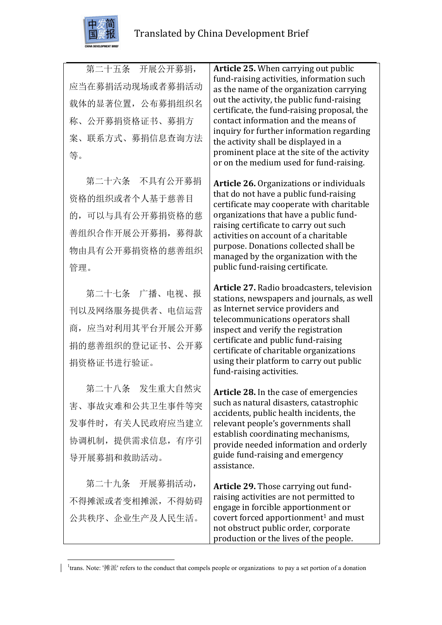

第二十五条 开展公开募捐, 应当在募捐活动现场或者募捐活动 载体的显著位置,公布募捐组织名 称、公开募捐资格证书、募捐方 案、联系方式、募捐信息查询方法 等。

第二十六条 不具有公开募捐 资格的组织或者个人基于慈善目 的,可以与具有公开募捐资格的慈 善组织合作开展公开募捐,募得款 物由具有公开募捐资格的慈善组织 管理。

第二十七条 广播、电视、报 刊以及网络服务提供者、电信运营 商,应当对利用其平台开展公开募 捐的慈善组织的登记证书、公开募 捐资格证书进行验证。

第二十八条 发生重大自然灾 害、事故灾难和公共卫生事件等突 发事件时,有关人民政府应当建立 协调机制,提供需求信息,有序引 导开展募捐和救助活动。

第二十九条 开展募捐活动, 不得摊派或者变相摊派,不得妨碍 公共秩序、企业生产及人民生活。

 

**Article 25.** When carrying out public fund-raising activities, information such as the name of the organization carrying out the activity, the public fund-raising certificate, the fund-raising proposal, the contact information and the means of inquiry for further information regarding the activity shall be displayed in a prominent place at the site of the activity or on the medium used for fund-raising.

**Article 26.** Organizations or individuals that do not have a public fund-raising certificate may cooperate with charitable organizations that have a public fundraising certificate to carry out such activities on account of a charitable purpose. Donations collected shall be managed by the organization with the public fund-raising certificate.

**Article 27.** Radio broadcasters, television stations, newspapers and journals, as well as Internet service providers and telecommunications operators shall inspect and verify the registration certificate and public fund-raising certificate of charitable organizations using their platform to carry out public fund-raising activities.

**Article 28.** In the case of emergencies such as natural disasters, catastrophic accidents, public health incidents, the relevant people's governments shall establish coordinating mechanisms, provide needed information and orderly guide fund-raising and emergency assistance.

Article 29. Those carrying out fundraising activities are not permitted to engage in forcible apportionment or covert forced apportionment<sup>1</sup> and must not obstruct public order, corporate production or the lives of the people.

<sup>&</sup>lt;sup>1</sup>trans. Note: '摊派' refers to the conduct that compels people or organizations to pay a set portion of a donation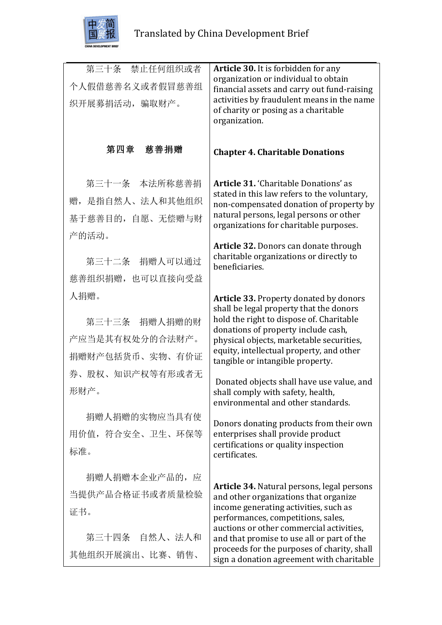

| 第三十条 禁止任何组织或者<br>个人假借慈善名义或者假冒慈善组<br>织开展募捐活动,骗取财产。                                                                                                                                                                                         | Article 30. It is forbidden for any<br>organization or individual to obtain<br>financial assets and carry out fund-raising<br>activities by fraudulent means in the name<br>of charity or posing as a charitable<br>organization.                                                                                                                                                                                                                                                                                                                                                                                                                                                                                                                                                                                                                                                     |
|-------------------------------------------------------------------------------------------------------------------------------------------------------------------------------------------------------------------------------------------|---------------------------------------------------------------------------------------------------------------------------------------------------------------------------------------------------------------------------------------------------------------------------------------------------------------------------------------------------------------------------------------------------------------------------------------------------------------------------------------------------------------------------------------------------------------------------------------------------------------------------------------------------------------------------------------------------------------------------------------------------------------------------------------------------------------------------------------------------------------------------------------|
| 第四章 慈善捐赠                                                                                                                                                                                                                                  | <b>Chapter 4. Charitable Donations</b>                                                                                                                                                                                                                                                                                                                                                                                                                                                                                                                                                                                                                                                                                                                                                                                                                                                |
| 第三十一条 本法所称慈善捐<br>赠, 是指自然人、法人和其他组织<br>基于慈善目的, 自愿、无偿赠与财<br>产的活动。<br>第三十二条 捐赠人可以通过<br>慈善组织捐赠, 也可以直接向受益<br>人捐赠。<br>第三十三条 捐赠人捐赠的财<br>产应当是其有权处分的合法财产。<br>捐赠财产包括货币、实物、有价证<br>券、股权、知识产权等有形或者无<br>形财产。<br>捐赠人捐赠的实物应当具有使<br>用价值, 符合安全、卫生、环保等<br>标准。 | Article 31. 'Charitable Donations' as<br>stated in this law refers to the voluntary,<br>non-compensated donation of property by<br>natural persons, legal persons or other<br>organizations for charitable purposes.<br>Article 32. Donors can donate through<br>charitable organizations or directly to<br>beneficiaries.<br><b>Article 33. Property donated by donors</b><br>shall be legal property that the donors<br>hold the right to dispose of. Charitable<br>donations of property include cash,<br>physical objects, marketable securities,<br>equity, intellectual property, and other<br>tangible or intangible property.<br>Donated objects shall have use value, and<br>shall comply with safety, health,<br>environmental and other standards.<br>Donors donating products from their own<br>enterprises shall provide product<br>certifications or quality inspection |
| 捐赠人捐赠本企业产品的, 应<br>当提供产品合格证书或者质量检验<br>证书。<br>第三十四条 自然人、法人和<br>其他组织开展演出、比赛、销售、                                                                                                                                                              | certificates.<br><b>Article 34.</b> Natural persons, legal persons<br>and other organizations that organize<br>income generating activities, such as<br>performances, competitions, sales,<br>auctions or other commercial activities,<br>and that promise to use all or part of the<br>proceeds for the purposes of charity, shall<br>sign a donation agreement with charitable                                                                                                                                                                                                                                                                                                                                                                                                                                                                                                      |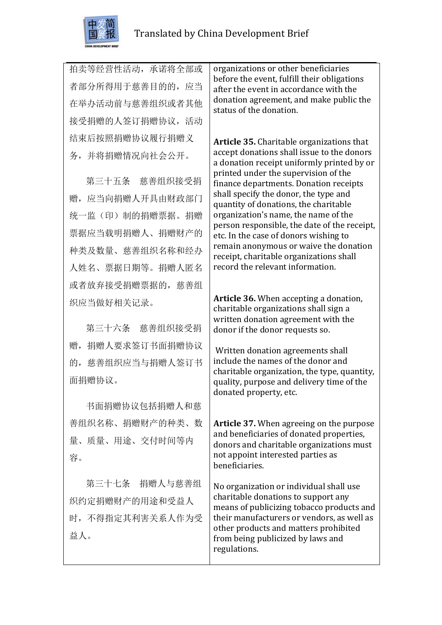

拍卖等经营性活动,承诺将全部或 者部分所得用于慈善目的的, 应当 在举办活动前与慈善组织或者其他 接受捐赠的人签订捐赠协议,活动 结束后按照捐赠协议履行捐赠义 务,并将捐赠情况向社会公开。

第三十五条 慈善组织接受捐 赠,应当向捐赠人开具由财政部门 统一监(印)制的捐赠票据。捐赠 票据应当载明捐赠人、捐赠财产的 种类及数量、慈善组织名称和经办 人姓名、票据日期等。捐赠人匿名 或者放弃接受捐赠票据的,慈善组 织应当做好相关记录。

第三十六条 慈善组织接受捐 赠,捐赠人要求签订书面捐赠协议 的,慈善组织应当与捐赠人签订书 面捐赠协议。

书面捐赠协议包括捐赠人和慈 善组织名称、捐赠财产的种类、数 量、质量、用途、交付时间等内 容。

第三十七条 捐赠人与慈善组 织约定捐赠财产的用途和受益人 时,不得指定其利害关系人作为受 益人。

organizations or other beneficiaries before the event, fulfill their obligations after the event in accordance with the donation agreement, and make public the status of the donation.

Article 35. Charitable organizations that accept donations shall issue to the donors a donation receipt uniformly printed by or printed under the supervision of the finance departments. Donation receipts shall specify the donor, the type and quantity of donations, the charitable organization's name, the name of the person responsible, the date of the receipt, etc. In the case of donors wishing to remain anonymous or waive the donation receipt, charitable organizations shall record the relevant information.

Article 36. When accepting a donation, charitable organizations shall sign a written donation agreement with the donor if the donor requests so.

Written donation agreements shall include the names of the donor and charitable organization, the type, quantity, quality, purpose and delivery time of the donated property, etc.

**Article 37.** When agreeing on the purpose and beneficiaries of donated properties, donors and charitable organizations must not appoint interested parties as beneficiaries.

No organization or individual shall use charitable donations to support any means of publicizing tobacco products and their manufacturers or vendors, as well as other products and matters prohibited from being publicized by laws and regulations.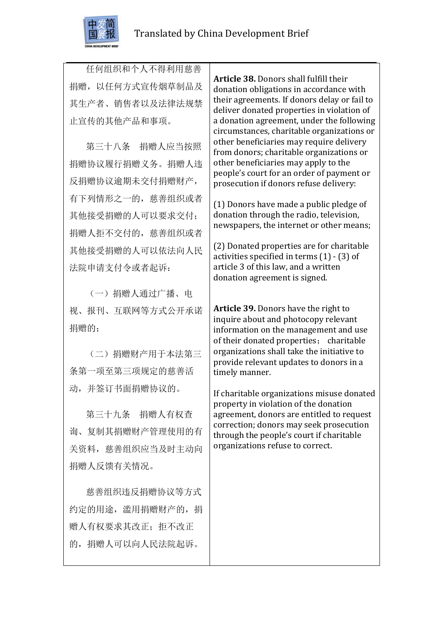

任何组织和个人不得利用慈善 捐赠,以任何方式宣传烟草制品及 其生产者、销售者以及法律法规禁 止宣传的其他产品和事项。

第三十八条 捐赠人应当按照 捐赠协议履行捐赠义务。捐赠人违 反捐赠协议逾期未交付捐赠财产, 有下列情形之一的,慈善组织或者 其他接受捐赠的人可以要求交付; 捐赠人拒不交付的,慈善组织或者 其他接受捐赠的人可以依法向人民 法院申请支付令或者起诉:

(一)捐赠人通过广播、电 视、报刊、互联网等方式公开承诺 捐赠的;

(二)捐赠财产用于本法第三 条第一项至第三项规定的慈善活 动,并签订书面捐赠协议的。

第三十九条 捐赠人有权查 询、复制其捐赠财产管理使用的有 关资料, 慈善组织应当及时主动向 捐赠人反馈有关情况。

慈善组织违反捐赠协议等方式 约定的用途,滥用捐赠财产的,捐 赠人有权要求其改正; 拒不改正 的,捐赠人可以向人民法院起诉。

**Article 38.** Donors shall fulfill their donation obligations in accordance with their agreements. If donors delay or fail to deliver donated properties in violation of a donation agreement, under the following circumstances, charitable organizations or other beneficiaries may require delivery from donors; charitable organizations or other beneficiaries may apply to the people's court for an order of payment or prosecution if donors refuse delivery:

(1) Donors have made a public pledge of donation through the radio, television, newspapers, the internet or other means:

(2) Donated properties are for charitable activities specified in terms  $(1)$  -  $(3)$  of article 3 of this law, and a written donation agreement is signed.

**Article 39.** Donors have the right to inquire about and photocopy relevant information on the management and use of their donated properties; charitable organizations shall take the initiative to provide relevant updates to donors in a timely manner.

If charitable organizations misuse donated property in violation of the donation agreement, donors are entitled to request correction; donors may seek prosecution through the people's court if charitable organizations refuse to correct.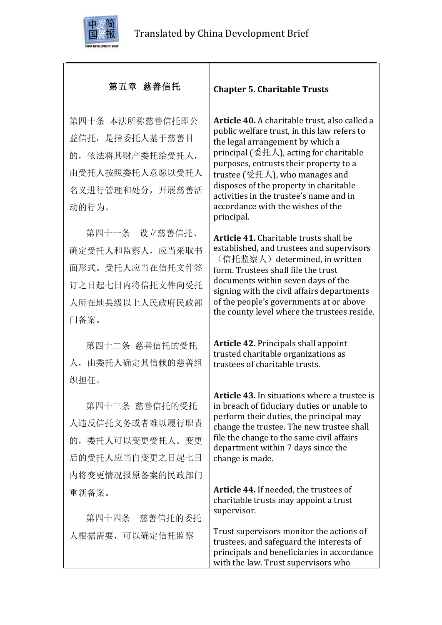

# 第五章 慈善信托

第四十条 本法所称慈善信托即公 益信托,是指委托人基于慈善目 的,依法将其财产委托给受托人, 由受托人按照委托人意愿以受托人 名义进行管理和处分,开展慈善活 动的行为。

第四十一条 设立慈善信托、 确定受托人和监察人,应当采取书 面形式。受托人应当在信托文件签 订之日起七日内将信托文件向受托 人所在地县级以上人民政府民政部 门备案。

第四十二条 慈善信托的受托 人,由委托人确定其信赖的慈善组 织担任。

第四十三条 慈善信托的受托 人违反信托义务或者难以履行职责 的,委托人可以变更受托人。变更 后的受托人应当自变更之日起七日 内将变更情况报原备案的民政部门 重新备案。

第四十四条 慈善信托的委托 人根据需要,可以确定信托监察

#### **Chapter 5. Charitable Trusts**

**Article 40.** A charitable trust, also called a public welfare trust, in this law refers to the legal arrangement by which a principal  $(\text{$   $\ddot{\textbf{\text{E}}}$   $\ddot{\textbf{\text{A}}}$   $\textbf{\text{A}})$ , acting for charitable purposes, entrusts their property to a trustee  $\left(\frac{m}{2}H\right)$ , who manages and disposes of the property in charitable activities in the trustee's name and in accordance with the wishes of the principal.

**Article 41.** Charitable trusts shall be established, and trustees and supervisors (信托监察人) determined, in written form. Trustees shall file the trust documents within seven days of the signing with the civil affairs departments of the people's governments at or above the county level where the trustees reside.

**Article 42.** Principals shall appoint trusted charitable organizations as trustees of charitable trusts.

**Article 43.** In situations where a trustee is in breach of fiduciary duties or unable to perform their duties, the principal may change the trustee. The new trustee shall file the change to the same civil affairs department within 7 days since the change is made.

**Article 44.** If needed, the trustees of charitable trusts may appoint a trust supervisor. 

Trust supervisors monitor the actions of trustees, and safeguard the interests of principals and beneficiaries in accordance with the law. Trust supervisors who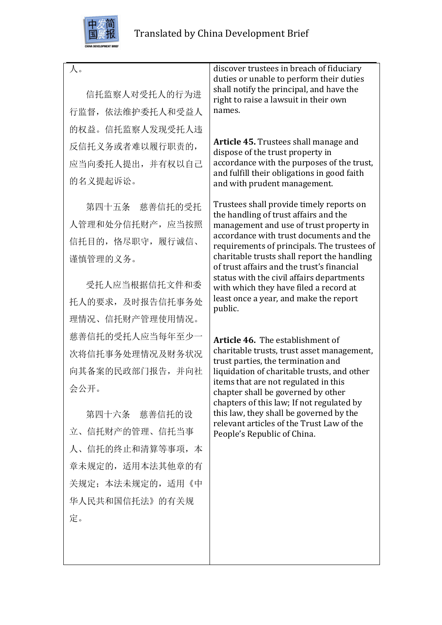

人。

信托监察人对受托人的行为进 行监督,依法维护委托人和受益人 的权益。信托监察人发现受托人违 反信托义务或者难以履行职责的, 应当向委托人提出,并有权以自己 的名义提起诉讼。

第四十五条 慈善信托的受托 人管理和处分信托财产,应当按照 信托目的,恪尽职守,履行诚信、 谨慎管理的义务。

受托人应当根据信托文件和委 托人的要求,及时报告信托事务处 理情况、信托财产管理使用情况。 慈善信托的受托人应当每年至少一 次将信托事务处理情况及财务状况 向其备案的民政部门报告,并向社 会公开。

第四十六条 慈善信托的设 立、信托财产的管理、信托当事 人、信托的终止和清算等事项,本 章未规定的,适用本法其他章的有 关规定:本法未规定的,适用《中 华人民共和国信托法》的有关规 定。

discover trustees in breach of fiduciary duties or unable to perform their duties shall notify the principal, and have the right to raise a lawsuit in their own names.

Article 45. Trustees shall manage and dispose of the trust property in accordance with the purposes of the trust. and fulfill their obligations in good faith and with prudent management.

Trustees shall provide timely reports on the handling of trust affairs and the management and use of trust property in accordance with trust documents and the requirements of principals. The trustees of charitable trusts shall report the handling of trust affairs and the trust's financial status with the civil affairs departments with which they have filed a record at least once a vear, and make the report public.

**Article 46.** The establishment of charitable trusts, trust asset management, trust parties, the termination and liquidation of charitable trusts, and other items that are not regulated in this chapter shall be governed by other chapters of this law; If not regulated by this law, they shall be governed by the relevant articles of the Trust Law of the People's Republic of China.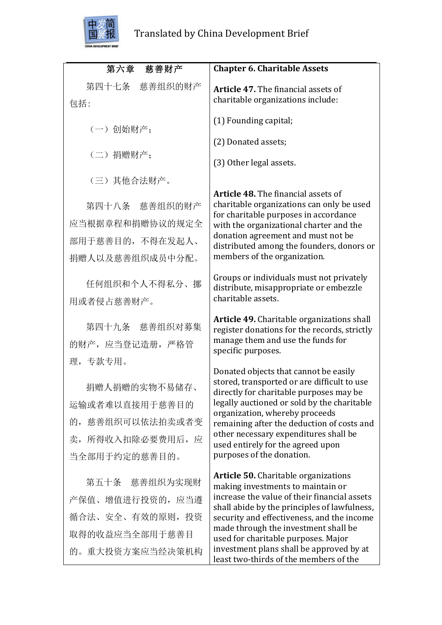

| 第六章 慈善财产                                                                                            | <b>Chapter 6. Charitable Assets</b>                                                                                                                                                                                                                                                                                                                                                                 |
|-----------------------------------------------------------------------------------------------------|-----------------------------------------------------------------------------------------------------------------------------------------------------------------------------------------------------------------------------------------------------------------------------------------------------------------------------------------------------------------------------------------------------|
| 第四十七条 慈善组织的财产<br>包括:                                                                                | Article 47. The financial assets of<br>charitable organizations include:                                                                                                                                                                                                                                                                                                                            |
| (一)创始财产;                                                                                            | (1) Founding capital;                                                                                                                                                                                                                                                                                                                                                                               |
|                                                                                                     | (2) Donated assets;                                                                                                                                                                                                                                                                                                                                                                                 |
| (二) 捐赠财产;                                                                                           | (3) Other legal assets.                                                                                                                                                                                                                                                                                                                                                                             |
| (三) 其他合法财产。                                                                                         |                                                                                                                                                                                                                                                                                                                                                                                                     |
| 第四十八条 慈善组织的财产<br>应当根据章程和捐赠协议的规定全<br>部用于慈善目的,不得在发起人、<br>捐赠人以及慈善组织成员中分配。                              | <b>Article 48.</b> The financial assets of<br>charitable organizations can only be used<br>for charitable purposes in accordance<br>with the organizational charter and the<br>donation agreement and must not be<br>distributed among the founders, donors or<br>members of the organization.                                                                                                      |
| 任何组织和个人不得私分、挪<br>用或者侵占慈善财产。                                                                         | Groups or individuals must not privately<br>distribute, misappropriate or embezzle<br>charitable assets.                                                                                                                                                                                                                                                                                            |
| 第四十九条 慈善组织对募集<br>的财产, 应当登记造册, 严格管                                                                   | Article 49. Charitable organizations shall<br>register donations for the records, strictly<br>manage them and use the funds for<br>specific purposes.                                                                                                                                                                                                                                               |
| 理,专款专用。<br>捐赠人捐赠的实物不易储存<br>运输或者难以直接用于慈善目的<br>的, 慈善组织可以依法拍卖或者变<br>卖, 所得收入扣除必要费用后, 应<br>当全部用于约定的慈善目的。 | Donated objects that cannot be easily<br>stored, transported or are difficult to use<br>directly for charitable purposes may be<br>legally auctioned or sold by the charitable<br>organization, whereby proceeds<br>remaining after the deduction of costs and<br>other necessary expenditures shall be<br>used entirely for the agreed upon<br>purposes of the donation.                           |
| 第五十条 慈善组织为实现财<br>产保值、增值进行投资的, 应当遵<br>循合法、安全、有效的原则, 投资<br>取得的收益应当全部用于慈善目<br>的。重大投资方案应当经决策机构          | <b>Article 50.</b> Charitable organizations<br>making investments to maintain or<br>increase the value of their financial assets<br>shall abide by the principles of lawfulness,<br>security and effectiveness, and the income<br>made through the investment shall be<br>used for charitable purposes. Major<br>investment plans shall be approved by at<br>least two-thirds of the members of the |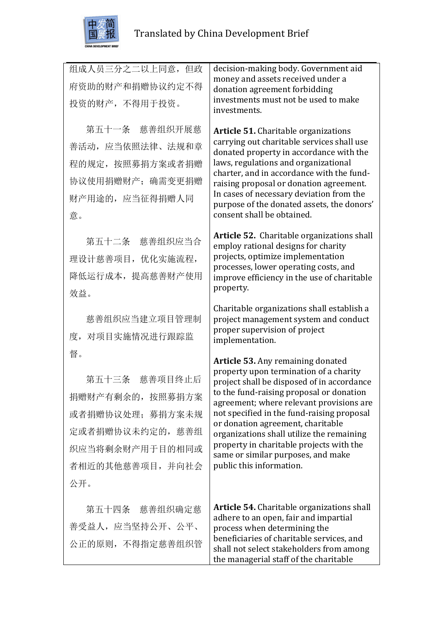

| 组成人员三分之二以上同意, 但政 | decision-making body. Government aid<br>money and assets received under a              |
|------------------|----------------------------------------------------------------------------------------|
| 府资助的财产和捐赠协议约定不得  | donation agreement forbidding                                                          |
| 投资的财产,不得用于投资。    | investments must not be used to make<br>investments.                                   |
| 第五十一条 慈善组织开展慈    | <b>Article 51.</b> Charitable organizations                                            |
| 善活动, 应当依照法律、法规和章 | carrying out charitable services shall use<br>donated property in accordance with the  |
| 程的规定, 按照募捐方案或者捐赠 | laws, regulations and organizational                                                   |
| 协议使用捐赠财产; 确需变更捐赠 | charter, and in accordance with the fund-<br>raising proposal or donation agreement.   |
| 财产用途的, 应当征得捐赠人同  | In cases of necessary deviation from the<br>purpose of the donated assets, the donors' |
| 意。               | consent shall be obtained.                                                             |
| 第五十二条 慈善组织应当合    | Article 52. Charitable organizations shall<br>employ rational designs for charity      |
| 理设计慈善项目, 优化实施流程, | projects, optimize implementation<br>processes, lower operating costs, and             |
| 降低运行成本, 提高慈善财产使用 | improve efficiency in the use of charitable                                            |
| 效益。              | property.                                                                              |
| 慈善组织应当建立项目管理制    | Charitable organizations shall establish a<br>project management system and conduct    |
| 度, 对项目实施情况进行跟踪监  | proper supervision of project                                                          |
| 督。               | implementation.                                                                        |
|                  | Article 53. Any remaining donated<br>property upon termination of a charity            |
| 第五十三条<br>慈善项目终止后 | project shall be disposed of in accordance                                             |
| 捐赠财产有剩余的, 按照募捐方案 | to the fund-raising proposal or donation<br>agreement; where relevant provisions are   |
| 或者捐赠协议处理; 募捐方案未规 | not specified in the fund-raising proposal<br>or donation agreement, charitable        |
| 定或者捐赠协议未约定的, 慈善组 | organizations shall utilize the remaining                                              |
| 织应当将剩余财产用于目的相同或  | property in charitable projects with the<br>same or similar purposes, and make         |
| 者相近的其他慈善项目, 并向社会 | public this information.                                                               |
| 公开。              |                                                                                        |
| 第五十四条 慈善组织确定慈    | <b>Article 54.</b> Charitable organizations shall                                      |
| 善受益人,应当坚持公开、公平、  | adhere to an open, fair and impartial<br>process when determining the                  |
| 公正的原则, 不得指定慈善组织管 | beneficiaries of charitable services, and<br>shall not select stakeholders from among  |

the managerial staff of the charitable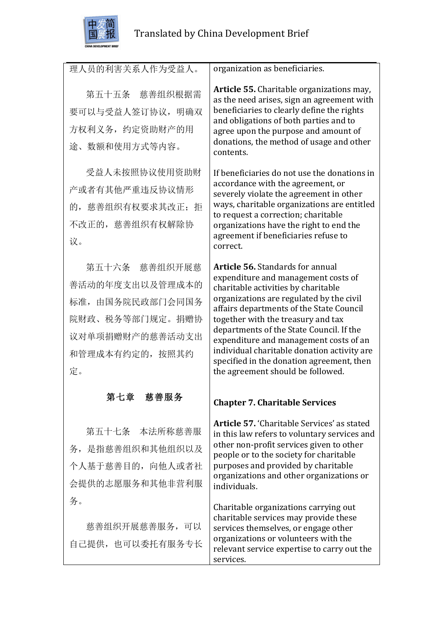

| 理人员的利害关系人作为受益人。                                                                                                    | organization as beneficiaries.                                                                                                                                                                                                                                                                                                                                                                                                                                             |
|--------------------------------------------------------------------------------------------------------------------|----------------------------------------------------------------------------------------------------------------------------------------------------------------------------------------------------------------------------------------------------------------------------------------------------------------------------------------------------------------------------------------------------------------------------------------------------------------------------|
| 第五十五条 慈善组织根据需<br>要可以与受益人签订协议, 明确双<br>方权利义务, 约定资助财产的用<br>途、数额和使用方式等内容。                                              | Article 55. Charitable organizations may,<br>as the need arises, sign an agreement with<br>beneficiaries to clearly define the rights<br>and obligations of both parties and to<br>agree upon the purpose and amount of<br>donations, the method of usage and other<br>contents.                                                                                                                                                                                           |
| 受益人未按照协议使用资助财<br>产或者有其他严重违反协议情形<br>的, 慈善组织有权要求其改正; 拒<br>不改正的, 慈善组织有权解除协<br>议。                                      | If beneficiaries do not use the donations in<br>accordance with the agreement, or<br>severely violate the agreement in other<br>ways, charitable organizations are entitled<br>to request a correction; charitable<br>organizations have the right to end the<br>agreement if beneficiaries refuse to<br>correct.                                                                                                                                                          |
| 第五十六条 慈善组织开展慈<br>善活动的年度支出以及管理成本的<br>标准,由国务院民政部门会同国务<br>院财政、税务等部门规定。捐赠协<br>议对单项捐赠财产的慈善活动支出<br>和管理成本有约定的, 按照其约<br>定。 | <b>Article 56.</b> Standards for annual<br>expenditure and management costs of<br>charitable activities by charitable<br>organizations are regulated by the civil<br>affairs departments of the State Council<br>together with the treasury and tax<br>departments of the State Council. If the<br>expenditure and management costs of an<br>individual charitable donation activity are<br>specified in the donation agreement, then<br>the agreement should be followed. |
| 慈善服务<br>第七章                                                                                                        | <b>Chapter 7. Charitable Services</b>                                                                                                                                                                                                                                                                                                                                                                                                                                      |
| 第五十七条 本法所称慈善服<br>务, 是指慈善组织和其他组织以及<br>个人基于慈善目的, 向他人或者社<br>会提供的志愿服务和其他非营利服                                           | Article 57. 'Charitable Services' as stated<br>in this law refers to voluntary services and<br>other non-profit services given to other<br>people or to the society for charitable<br>purposes and provided by charitable<br>organizations and other organizations or<br>individuals.                                                                                                                                                                                      |
| 务。<br>慈善组织开展慈善服务, 可以<br>自己提供, 也可以委托有服务专长                                                                           | Charitable organizations carrying out<br>charitable services may provide these<br>services themselves, or engage other<br>organizations or volunteers with the<br>relevant service expertise to carry out the<br>services.                                                                                                                                                                                                                                                 |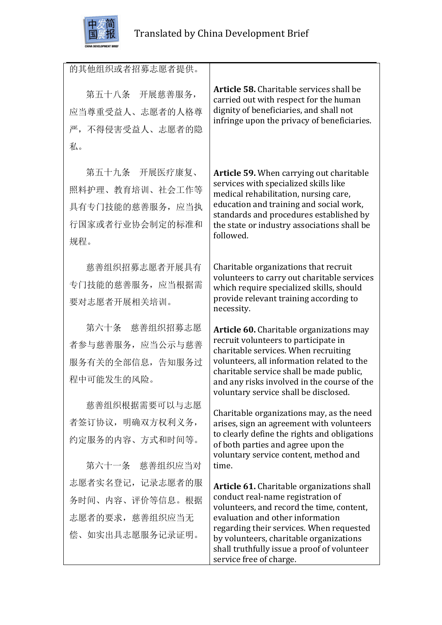

| 的其他组织或者招募志愿者提供。  |                                                                                                                                    |
|------------------|------------------------------------------------------------------------------------------------------------------------------------|
| 第五十八条 开展慈善服务,    | Article 58. Charitable services shall be<br>carried out with respect for the human                                                 |
| 应当尊重受益人、志愿者的人格尊  | dignity of beneficiaries, and shall not<br>infringe upon the privacy of beneficiaries.                                             |
| 严, 不得侵害受益人、志愿者的隐 |                                                                                                                                    |
| 私。               |                                                                                                                                    |
| 第五十九条 开展医疗康复、    | <b>Article 59.</b> When carrying out charitable                                                                                    |
| 照料护理、教育培训、社会工作等  | services with specialized skills like<br>medical rehabilitation, nursing care,                                                     |
| 具有专门技能的慈善服务, 应当执 | education and training and social work,                                                                                            |
| 行国家或者行业协会制定的标准和  | standards and procedures established by<br>the state or industry associations shall be                                             |
| 规程。              | followed.                                                                                                                          |
|                  |                                                                                                                                    |
| 慈善组织招募志愿者开展具有    | Charitable organizations that recruit<br>volunteers to carry out charitable services                                               |
| 专门技能的慈善服务, 应当根据需 | which require specialized skills, should                                                                                           |
| 要对志愿者开展相关培训。     | provide relevant training according to<br>necessity.                                                                               |
| 第六十条 慈善组织招募志愿    | <b>Article 60.</b> Charitable organizations may                                                                                    |
| 者参与慈善服务, 应当公示与慈善 | recruit volunteers to participate in<br>charitable services. When recruiting                                                       |
| 服务有关的全部信息,告知服务过  | volunteers, all information related to the                                                                                         |
| 程中可能发生的风险。       | charitable service shall be made public,<br>and any risks involved in the course of the                                            |
| 慈善组织根据需要可以与志愿    | voluntary service shall be disclosed.                                                                                              |
| 者签订协议, 明确双方权利义务, | Charitable organizations may, as the need                                                                                          |
|                  | arises, sign an agreement with volunteers<br>to clearly define the rights and obligations                                          |
| 约定服务的内容、方式和时间等。  | of both parties and agree upon the<br>voluntary service content, method and                                                        |
| 第六十一条 慈善组织应当对    | time.                                                                                                                              |
| 志愿者实名登记, 记录志愿者的服 | <b>Article 61.</b> Charitable organizations shall                                                                                  |
| 务时间、内容、评价等信息。根据  | conduct real-name registration of<br>volunteers, and record the time, content,                                                     |
| 志愿者的要求, 慈善组织应当无  | evaluation and other information                                                                                                   |
| 偿、如实出具志愿服务记录证明。  | regarding their services. When requested<br>by volunteers, charitable organizations<br>shall truthfully issue a proof of volunteer |

service free of charge.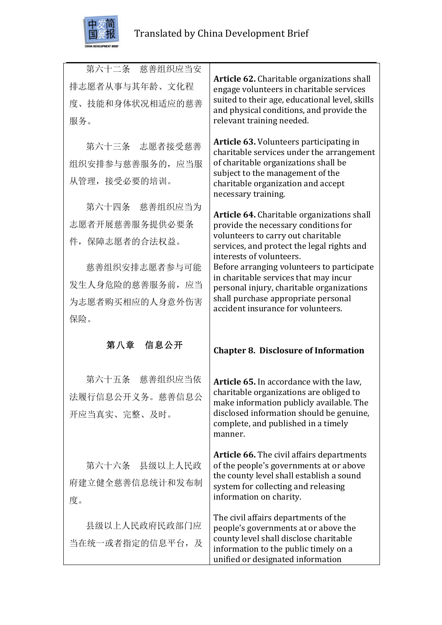

| 第六十二条 慈善组织应当安    | Article 62. Charitable organizations shall                                                                              |
|------------------|-------------------------------------------------------------------------------------------------------------------------|
| 排志愿者从事与其年龄、文化程   | engage volunteers in charitable services                                                                                |
| 度、技能和身体状况相适应的慈善  | suited to their age, educational level, skills<br>and physical conditions, and provide the                              |
| 服务。              | relevant training needed.                                                                                               |
| 第六十三条 志愿者接受慈善    | <b>Article 63. Volunteers participating in</b>                                                                          |
| 组织安排参与慈善服务的, 应当服 | charitable services under the arrangement<br>of charitable organizations shall be                                       |
| 从管理, 接受必要的培训。    | subject to the management of the                                                                                        |
|                  | charitable organization and accept<br>necessary training.                                                               |
| 第六十四条 慈善组织应当为    | Article 64. Charitable organizations shall                                                                              |
| 志愿者开展慈善服务提供必要条   | provide the necessary conditions for                                                                                    |
| 件, 保障志愿者的合法权益。   | volunteers to carry out charitable<br>services, and protect the legal rights and                                        |
| 慈善组织安排志愿者参与可能    | interests of volunteers.<br>Before arranging volunteers to participate                                                  |
| 发生人身危险的慈善服务前, 应当 | in charitable services that may incur                                                                                   |
|                  | personal injury, charitable organizations<br>shall purchase appropriate personal                                        |
| 为志愿者购买相应的人身意外伤害  | accident insurance for volunteers.                                                                                      |
| 保险。              |                                                                                                                         |
| 第八章 信息公开         | <b>Chapter 8. Disclosure of Information</b>                                                                             |
|                  |                                                                                                                         |
|                  |                                                                                                                         |
| 第六十五条<br>慈善组织应当依 | Article 65. In accordance with the law,<br>charitable organizations are obliged to                                      |
| 法履行信息公开义务。慈善信息公  | make information publicly available. The                                                                                |
| 开应当真实、完整、及时。     | disclosed information should be genuine,<br>complete, and published in a timely                                         |
|                  | manner.                                                                                                                 |
|                  | <b>Article 66.</b> The civil affairs departments                                                                        |
| 第六十六条 县级以上人民政    | of the people's governments at or above                                                                                 |
| 府建立健全慈善信息统计和发布制  | the county level shall establish a sound<br>system for collecting and releasing                                         |
| 度。               | information on charity.                                                                                                 |
| 县级以上人民政府民政部门应    | The civil affairs departments of the                                                                                    |
| 当在统一或者指定的信息平台, 及 | people's governments at or above the<br>county level shall disclose charitable<br>information to the public timely on a |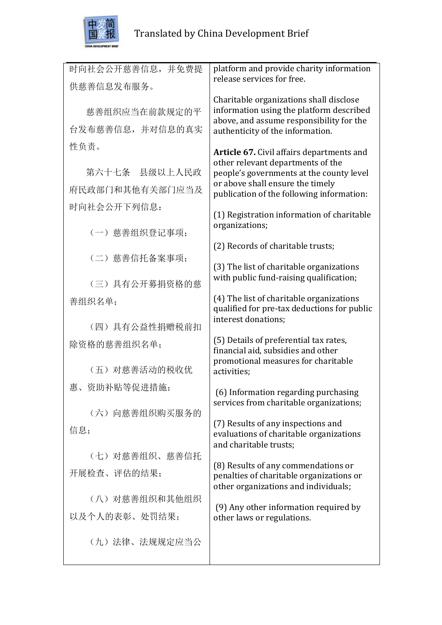

| 时向社会公开慈善信息,并免费提 | platform and provide charity information                                             |
|-----------------|--------------------------------------------------------------------------------------|
| 供慈善信息发布服务。      | release services for free.                                                           |
|                 | Charitable organizations shall disclose                                              |
| 慈善组织应当在前款规定的平   | information using the platform described<br>above, and assume responsibility for the |
| 台发布慈善信息,并对信息的真实 | authenticity of the information.                                                     |
| 性负责。            | Article 67. Civil affairs departments and                                            |
|                 | other relevant departments of the                                                    |
| 第六十七条 县级以上人民政   | people's governments at the county level                                             |
| 府民政部门和其他有关部门应当及 | or above shall ensure the timely<br>publication of the following information:        |
| 时向社会公开下列信息:     |                                                                                      |
|                 | (1) Registration information of charitable<br>organizations;                         |
| (一) 慈善组织登记事项:   |                                                                                      |
|                 | (2) Records of charitable trusts;                                                    |
| (二) 慈善信托备案事项;   | (3) The list of charitable organizations                                             |
|                 | with public fund-raising qualification;                                              |
| (三) 具有公开募捐资格的慈  |                                                                                      |
| 善组织名单;          | (4) The list of charitable organizations                                             |
|                 | qualified for pre-tax deductions for public<br>interest donations;                   |
| (四) 具有公益性捐赠税前扣  |                                                                                      |
| 除资格的慈善组织名单;     | (5) Details of preferential tax rates,                                               |
|                 | financial aid, subsidies and other<br>promotional measures for charitable            |
| (五) 对慈善活动的税收优   | activities;                                                                          |
| 惠、资助补贴等促进措施;    |                                                                                      |
|                 | (6) Information regarding purchasing<br>services from charitable organizations;      |
| (六) 向慈善组织购买服务的  |                                                                                      |
| 信息;             | (7) Results of any inspections and                                                   |
|                 | evaluations of charitable organizations<br>and charitable trusts;                    |
| (七) 对慈善组织、慈善信托  |                                                                                      |
| 开展检查、评估的结果;     | (8) Results of any commendations or                                                  |
|                 | penalties of charitable organizations or<br>other organizations and individuals;     |
| (八) 对慈善组织和其他组织  |                                                                                      |
| 以及个人的表彰、处罚结果;   | (9) Any other information required by<br>other laws or regulations.                  |
|                 |                                                                                      |
| (九) 法律、法规规定应当公  |                                                                                      |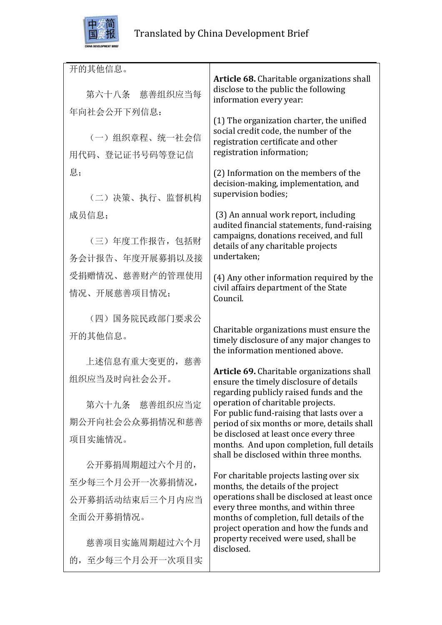

开的其他信息。 第六十八条 慈善组织应当每 年向社会公开下列信息: (一)组织章程、统一社会信 用代码、登记证书号码等登记信 息; (二)决策、执行、监督机构 成员信息; (三)年度工作报告,包括财 务会计报告、年度开展募捐以及接 受捐赠情况、慈善财产的管理使用 情况、开展慈善项目情况; (四)国务院民政部门要求公 开的其他信息。 上述信息有重大变更的,慈善 组织应当及时向社会公开。 第六十九条 慈善组织应当定 期公开向社会公众募捐情况和慈善 项目实施情况。 公开募捐周期超过六个月的, 至少每三个月公开一次募捐情况, 公开募捐活动结束后三个月内应当 全面公开募捐情况。 慈善项目实施周期超过六个月 的,至少每三个月公开一次项目实 **Article 68.** Charitable organizations shall disclose to the public the following information every year:  $(1)$  The organization charter, the unified social credit code, the number of the registration certificate and other registration information; (2) Information on the members of the decision-making, implementation, and supervision bodies; (3) An annual work report, including audited financial statements, fund-raising campaigns, donations received, and full details of any charitable projects undertaken; (4) Any other information required by the civil affairs department of the State Council. Charitable organizations must ensure the timely disclosure of any major changes to the information mentioned above. Article 69. Charitable organizations shall ensure the timely disclosure of details regarding publicly raised funds and the operation of charitable projects. For public fund-raising that lasts over a period of six months or more, details shall be disclosed at least once every three months. And upon completion, full details shall be disclosed within three months. For charitable projects lasting over six months, the details of the project operations shall be disclosed at least once every three months, and within three months of completion, full details of the project operation and how the funds and property received were used, shall be disclosed.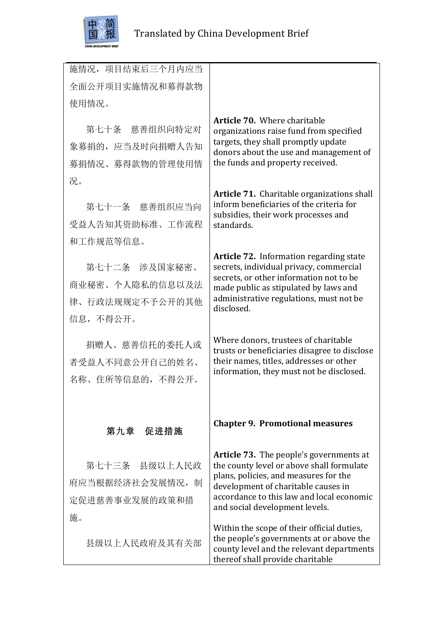

| 施情况, 项目结束后三个月内应当 |                                                                                                                                                                         |
|------------------|-------------------------------------------------------------------------------------------------------------------------------------------------------------------------|
| 全面公开项目实施情况和募得款物  |                                                                                                                                                                         |
| 使用情况。            |                                                                                                                                                                         |
|                  | <b>Article 70.</b> Where charitable                                                                                                                                     |
| 第七十条 慈善组织向特定对    | organizations raise fund from specified<br>targets, they shall promptly update                                                                                          |
| 象募捐的, 应当及时向捐赠人告知 | donors about the use and management of                                                                                                                                  |
| 募捐情况、募得款物的管理使用情  | the funds and property received.                                                                                                                                        |
| 况。               |                                                                                                                                                                         |
| 第七十一条 慈善组织应当向    | Article 71. Charitable organizations shall<br>inform beneficiaries of the criteria for<br>subsidies, their work processes and                                           |
| 受益人告知其资助标准、工作流程  | standards.                                                                                                                                                              |
| 和工作规范等信息。        |                                                                                                                                                                         |
| 第七十二条 涉及国家秘密、    | Article 72. Information regarding state<br>secrets, individual privacy, commercial                                                                                      |
| 商业秘密、个人隐私的信息以及法  | secrets, or other information not to be                                                                                                                                 |
| 律、行政法规规定不予公开的其他  | made public as stipulated by laws and<br>administrative regulations, must not be                                                                                        |
| 信息, 不得公开。        | disclosed.                                                                                                                                                              |
|                  |                                                                                                                                                                         |
| 捐赠人、慈善信托的委托人或    | Where donors, trustees of charitable<br>trusts or beneficiaries disagree to disclose                                                                                    |
| 者受益人不同意公开自己的姓名、  | their names, titles, addresses or other                                                                                                                                 |
| 名称、住所等信息的, 不得公开。 | information, they must not be disclosed.                                                                                                                                |
|                  |                                                                                                                                                                         |
|                  |                                                                                                                                                                         |
| 第九章 促进措施         | <b>Chapter 9. Promotional measures</b>                                                                                                                                  |
|                  | <b>Article 73.</b> The people's governments at                                                                                                                          |
| 第七十三条 县级以上人民政    | the county level or above shall formulate<br>plans, policies, and measures for the                                                                                      |
| 府应当根据经济社会发展情况, 制 | development of charitable causes in                                                                                                                                     |
| 定促进慈善事业发展的政策和措   | accordance to this law and local economic<br>and social development levels.                                                                                             |
| 施。               |                                                                                                                                                                         |
| 县级以上人民政府及其有关部    | Within the scope of their official duties,<br>the people's governments at or above the<br>county level and the relevant departments<br>thereof shall provide charitable |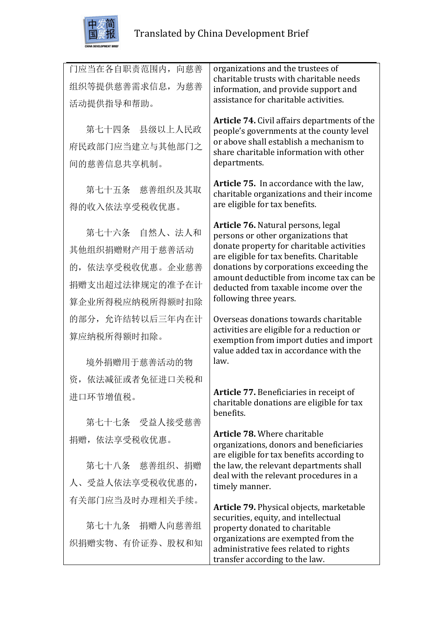

| 门应当在各自职责范围内,<br>向慈善<br>组织等提供慈善需求信息, 为慈善<br>活动提供指导和帮助。                                    | organizations and the trustees of<br>charitable trusts with charitable needs<br>information, and provide support and<br>assistance for charitable activities.                                                                                                                                                                 |
|------------------------------------------------------------------------------------------|-------------------------------------------------------------------------------------------------------------------------------------------------------------------------------------------------------------------------------------------------------------------------------------------------------------------------------|
| 第七十四条 县级以上人民政<br>府民政部门应当建立与其他部门之<br>间的慈善信息共享机制。                                          | <b>Article 74.</b> Civil affairs departments of the<br>people's governments at the county level<br>or above shall establish a mechanism to<br>share charitable information with other<br>departments.                                                                                                                         |
| 第七十五条 慈善组织及其取<br>得的收入依法享受税收优惠。                                                           | Article 75. In accordance with the law,<br>charitable organizations and their income<br>are eligible for tax benefits.                                                                                                                                                                                                        |
| 第七十六条 自然人、法人和<br>其他组织捐赠财产用于慈善活动<br>的,依法享受税收优惠。企业慈善<br>捐赠支出超过法律规定的准予在计<br>算企业所得税应纳税所得额时扣除 | Article 76. Natural persons, legal<br>persons or other organizations that<br>donate property for charitable activities<br>are eligible for tax benefits. Charitable<br>donations by corporations exceeding the<br>amount deductible from income tax can be<br>deducted from taxable income over the<br>following three years. |
| 的部分, 允许结转以后三年内在计<br>算应纳税所得额时扣除。<br>境外捐赠用于慈善活动的物                                          | Overseas donations towards charitable<br>activities are eligible for a reduction or<br>exemption from import duties and import<br>value added tax in accordance with the<br>law.                                                                                                                                              |
| 资, 依法减征或者免征进口关税和<br>进口环节增值税。<br>第七十七条 受益人接受慈善                                            | Article 77. Beneficiaries in receipt of<br>charitable donations are eligible for tax<br>benefits.                                                                                                                                                                                                                             |
| 捐赠,依法享受税收优惠。<br>第七十八条 慈善组织、捐赠<br>人、受益人依法享受税收优惠的,                                         | <b>Article 78. Where charitable</b><br>organizations, donors and beneficiaries<br>are eligible for tax benefits according to<br>the law, the relevant departments shall<br>deal with the relevant procedures in a<br>timely manner.                                                                                           |
| 有关部门应当及时办理相关手续。<br>第七十九条 捐赠人向慈善组<br>织捐赠实物、有价证券、股权和知                                      | Article 79. Physical objects, marketable<br>securities, equity, and intellectual<br>property donated to charitable<br>organizations are exempted from the<br>administrative fees related to rights<br>transfer according to the law.                                                                                          |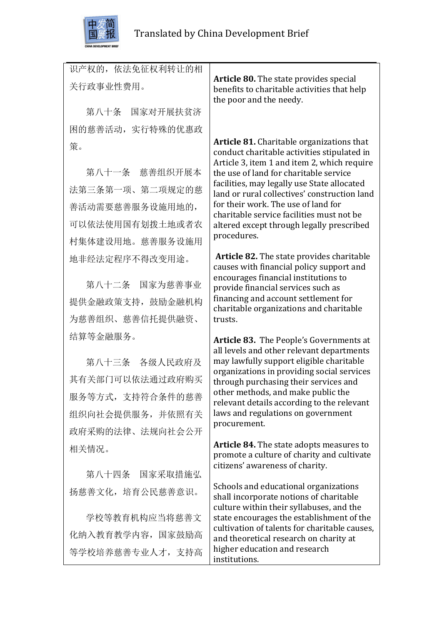

策。

识产权的,依法免征权利转让的相 关行政事业性费用。 第八十条 国家对开展扶贫济 困的慈善活动,实行特殊的优惠政 **Article 80.** The state provides special benefits to charitable activities that help the poor and the needy.

第八十一条 慈善组织开展本 法第三条第一项、第二项规定的慈 善活动需要慈善服务设施用地的, 可以依法使用国有划拨土地或者农 村集体建设用地。慈善服务设施用 地非经法定程序不得改变用途。

第八十二条 国家为慈善事业 提供金融政策支持,鼓励金融机构 为慈善组织、慈善信托提供融资、 结算等金融服务。

第八十三条 各级人民政府及 其有关部门可以依法通过政府购买 服务等方式,支持符合条件的慈善 组织向社会提供服务,并依照有关 政府采购的法律、法规向社会公开 相关情况。

第八十四条 国家采取措施弘 扬慈善文化,培育公民慈善意识。

学校等教育机构应当将慈善文 化纳入教育教学内容,国家鼓励高 等学校培养慈善专业人才,支持高 Article 81. Charitable organizations that conduct charitable activities stipulated in Article 3, item 1 and item 2, which require the use of land for charitable service facilities, may legally use State allocated land or rural collectives' construction land for their work. The use of land for charitable service facilities must not be altered except through legally prescribed procedures.

**Article 82.** The state provides charitable causes with financial policy support and encourages financial institutions to provide financial services such as financing and account settlement for charitable organizations and charitable trusts. 

**Article 83.** The People's Governments at all levels and other relevant departments may lawfully support eligible charitable organizations in providing social services through purchasing their services and other methods, and make public the relevant details according to the relevant laws and regulations on government procurement.

**Article 84.** The state adopts measures to promote a culture of charity and cultivate citizens' awareness of charity.

Schools and educational organizations shall incorporate notions of charitable culture within their syllabuses, and the state encourages the establishment of the cultivation of talents for charitable causes, and theoretical research on charity at higher education and research institutions.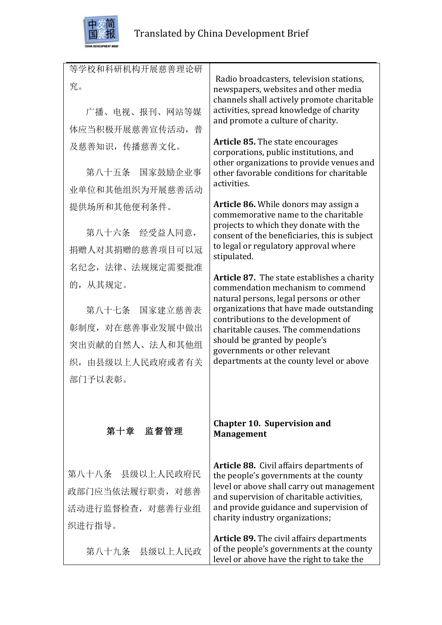

等学校和科研机构开展慈善理论研

究。 广播、电视、报刊、网站等媒 体应当积极开展慈善宣传活动, 普 及慈善知识,传播慈善文化。 第八十五条 国家鼓励企业事 业单位和其他组织为开展慈善活动 提供场所和其他便利条件。 第八十六条 经受益人同意, 捐赠人对其捐赠的慈善项目可以冠 名纪念,法律、法规规定需要批准 的,从其规定。 第八十七条 国家建立慈善表 彰制度,对在慈善事业发展中做出 突出贡献的自然人、法人和其他组 织,由县级以上人民政府或者有关 部门予以表彰。 第十章 监督管理 第八十八条 县级以上人民政府民 政部门应当依法履行职责,对慈善 活动进行监督检查,对慈善行业组 织进行指导。 第八十九条 县级以上人民政 Radio broadcasters, television stations. newspapers, websites and other media channels shall actively promote charitable activities, spread knowledge of charity and promote a culture of charity. **Article 85.** The state encourages corporations, public institutions, and other organizations to provide venues and other favorable conditions for charitable activities. **Article 86.** While donors may assign a commemorative name to the charitable projects to which they donate with the consent of the beneficiaries, this is subject to legal or regulatory approval where stipulated. **Article 87.** The state establishes a charity commendation mechanism to commend natural persons, legal persons or other organizations that have made outstanding contributions to the development of charitable causes. The commendations should be granted by people's governments or other relevant departments at the county level or above **Chapter 10. Supervision and Management Article 88.** Civil affairs departments of the people's governments at the county level or above shall carry out management and supervision of charitable activities, and provide guidance and supervision of charity industry organizations; **Article 89.** The civil affairs departments of the people's governments at the county level or above have the right to take the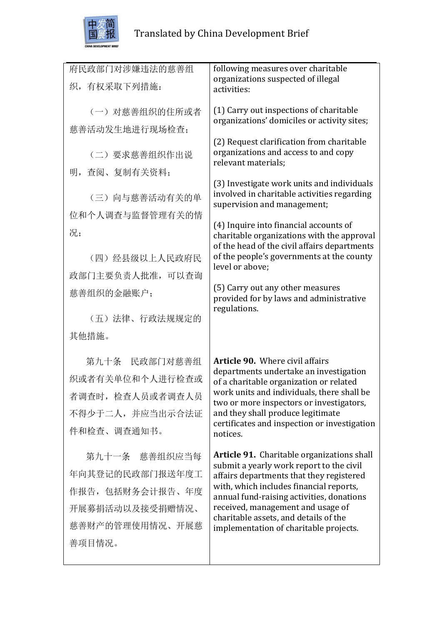

| 府民政部门对涉嫌违法的慈善组   | following measures over charitable                                                     |
|------------------|----------------------------------------------------------------------------------------|
|                  | organizations suspected of illegal                                                     |
| 织,有权采取下列措施:      | activities:                                                                            |
|                  |                                                                                        |
| (一) 对慈善组织的住所或者   | (1) Carry out inspections of charitable<br>organizations' domiciles or activity sites; |
| 慈善活动发生地进行现场检查;   |                                                                                        |
|                  | (2) Request clarification from charitable                                              |
| (二) 要求慈善组织作出说    | organizations and access to and copy                                                   |
| 明, 查阅、复制有关资料;    | relevant materials;                                                                    |
|                  | (3) Investigate work units and individuals                                             |
| (三) 向与慈善活动有关的单   | involved in charitable activities regarding                                            |
|                  | supervision and management;                                                            |
| 位和个人调查与监督管理有关的情  | (4) Inquire into financial accounts of                                                 |
| 况;               | charitable organizations with the approval                                             |
|                  | of the head of the civil affairs departments                                           |
| (四) 经县级以上人民政府民   | of the people's governments at the county<br>level or above;                           |
| 政部门主要负责人批准,可以查询  |                                                                                        |
| 慈善组织的金融账户;       | (5) Carry out any other measures                                                       |
|                  | provided for by laws and administrative<br>regulations.                                |
| (五)法律、行政法规规定的    |                                                                                        |
| 其他措施。            |                                                                                        |
|                  |                                                                                        |
| 第九十条 民政部门对慈善组    | <b>Article 90.</b> Where civil affairs                                                 |
| 织或者有关单位和个人进行检查或  | departments undertake an investigation                                                 |
|                  | of a charitable organization or related<br>work units and individuals, there shall be  |
| 者调查时, 检查人员或者调查人员 | two or more inspectors or investigators,                                               |
| 不得少于二人,并应当出示合法证  | and they shall produce legitimate                                                      |
| 件和检查、调查通知书。      | certificates and inspection or investigation<br>notices.                               |
|                  |                                                                                        |
| 第九十一条 慈善组织应当每    | Article 91. Charitable organizations shall                                             |
| 年向其登记的民政部门报送年度工  | submit a yearly work report to the civil<br>affairs departments that they registered   |
|                  |                                                                                        |
| 作报告, 包括财务会计报告、年度 | with, which includes financial reports,                                                |
| 开展募捐活动以及接受捐赠情况、  | annual fund-raising activities, donations<br>received, management and usage of         |
| 慈善财产的管理使用情况、开展慈  | charitable assets, and details of the                                                  |
| 善项目情况。           | implementation of charitable projects.                                                 |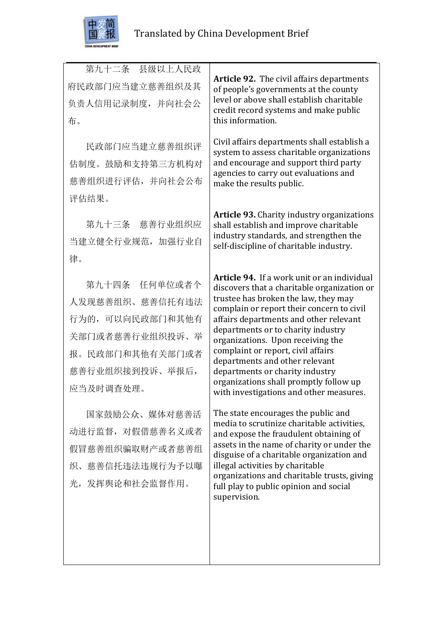

 第九十二条 县级以上人民政 府民政部门应当建立慈善组织及其 负责人信用记录制度,并向社会公 布。 民政部门应当建立慈善组织评 估制度。鼓励和支持第三方机构对 慈善组织进行评估,并向社会公布 评估结果。 第九十三条 慈善行业组织应 当建立健全行业规范,加强行业自 律。 第九十四条 任何单位或者个 人发现慈善组织、慈善信托有违法 行为的,可以向民政部门和其他有 关部门或者慈善行业组织投诉、举 报。民政部门和其他有关部门或者 慈善行业组织接到投诉、举报后, 应当及时调查处理。 国家鼓励公众、媒体对慈善活 动进行监督,对假借慈善名义或者 假冒慈善组织骗取财产或者慈善组 织、慈善信托违法违规行为予以曝 光,发挥舆论和社会监督作用。 **Article 92.** The civil affairs departments of people's governments at the county level or above shall establish charitable credit record systems and make public this information. Civil affairs departments shall establish a system to assess charitable organizations and encourage and support third party agencies to carry out evaluations and make the results public. **Article 93.** Charity industry organizations shall establish and improve charitable industry standards, and strengthen the self-discipline of charitable industry. **Article 94.** If a work unit or an individual discovers that a charitable organization or trustee has broken the law, they may complain or report their concern to civil affairs departments and other relevant departments or to charity industry organizations. Upon receiving the complaint or report, civil affairs departments and other relevant departments or charity industry organizations shall promptly follow up with investigations and other measures. The state encourages the public and media to scrutinize charitable activities, and expose the fraudulent obtaining of assets in the name of charity or under the disguise of a charitable organization and illegal activities by charitable organizations and charitable trusts, giving full play to public opinion and social supervision.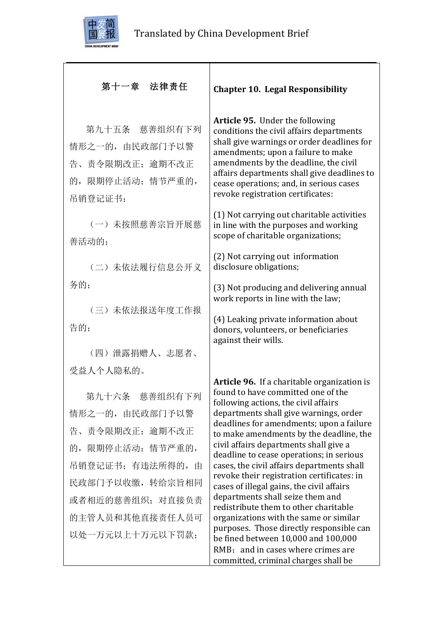

# 第十一章 法律责任

第九十五条 慈善组织有下列 情形之一的,由民政部门予以警 告、责令限期改正;逾期不改正 的,限期停止活动;情节严重的, 吊销登记证书:

(一)未按照慈善宗旨开展慈 善活动的;

(二)未依法履行信息公开义 务的;

(三)未依法报送年度工作报 告的:

(四)泄露捐赠人、志愿者、 受益人个人隐私的。

第九十六条 慈善组织有下列 情形之一的,由民政部门予以警 告、责令限期改正;逾期不改正 的,限期停止活动;情节严重的, 吊销登记证书;有违法所得的,由 民政部门予以收缴,转给宗旨相同 或者相近的慈善组织;对直接负责 的主管人员和其他直接责任人员可 以处一万元以上十万元以下罚款;

**Chapter 10. Legal Responsibility**

Article 95. Under the following conditions the civil affairs departments shall give warnings or order deadlines for amendments; upon a failure to make amendments by the deadline, the civil affairs departments shall give deadlines to cease operations; and, in serious cases revoke registration certificates:

(1) Not carrying out charitable activities in line with the purposes and working scope of charitable organizations;

(2) Not carrying out information disclosure obligations;

(3) Not producing and delivering annual work reports in line with the law:

(4) Leaking private information about donors, volunteers, or beneficiaries against their wills.

**Article 96.** If a charitable organization is found to have committed one of the following actions, the civil affairs departments shall give warnings, order deadlines for amendments; upon a failure to make amendments by the deadline, the civil affairs departments shall give a deadline to cease operations; in serious cases, the civil affairs departments shall revoke their registration certificates: in cases of illegal gains, the civil affairs departments shall seize them and redistribute them to other charitable organizations with the same or similar purposes. Those directly responsible can be fined between  $10,000$  and  $100,000$  $RMB:$  and in cases where crimes are committed, criminal charges shall be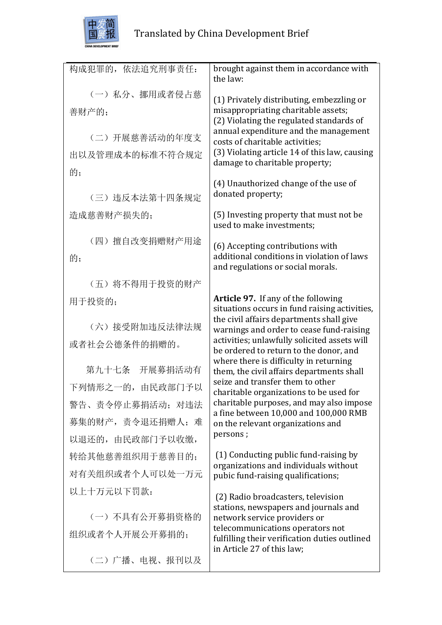

| 构成犯罪的, 依法追究刑事责任: | brought against them in accordance with<br>the law:                                       |
|------------------|-------------------------------------------------------------------------------------------|
| (一) 私分、挪用或者侵占慈   | (1) Privately distributing, embezzling or                                                 |
| 善财产的;            | misappropriating charitable assets;                                                       |
|                  | (2) Violating the regulated standards of                                                  |
| (二)开展慈善活动的年度支    | annual expenditure and the management<br>costs of charitable activities:                  |
| 出以及管理成本的标准不符合规定  | (3) Violating article 14 of this law, causing                                             |
| 的;               | damage to charitable property;                                                            |
|                  | (4) Unauthorized change of the use of                                                     |
| (三) 违反本法第十四条规定   | donated property;                                                                         |
| 造成慈善财产损失的;       | (5) Investing property that must not be<br>used to make investments;                      |
| (四) 擅自改变捐赠财产用途   | (6) Accepting contributions with                                                          |
| 的;               | additional conditions in violation of laws                                                |
|                  | and regulations or social morals.                                                         |
| (五) 将不得用于投资的财产   |                                                                                           |
| 用于投资的;           | <b>Article 97.</b> If any of the following                                                |
|                  | situations occurs in fund raising activities,<br>the civil affairs departments shall give |
| (六) 接受附加违反法律法规   | warnings and order to cease fund-raising                                                  |
| 或者社会公德条件的捐赠的。    | activities; unlawfully solicited assets will<br>be ordered to return to the donor, and    |
| 第九十七条 开展募捐活动有    | where there is difficulty in returning<br>them, the civil affairs departments shall       |
| 下列情形之一的,由民政部门予以  | seize and transfer them to other<br>charitable organizations to be used for               |
| 警告、责令停止募捐活动; 对违法 | charitable purposes, and may also impose                                                  |
| 募集的财产,责令退还捐赠人;难  | a fine between 10,000 and 100,000 RMB<br>on the relevant organizations and                |
| 以退还的, 由民政部门予以收缴, | persons;                                                                                  |
| 转给其他慈善组织用于慈善目的;  | (1) Conducting public fund-raising by                                                     |
| 对有关组织或者个人可以处一万元  | organizations and individuals without<br>pubic fund-raising qualifications;               |
| 以上十万元以下罚款:       |                                                                                           |
|                  | (2) Radio broadcasters, television<br>stations, newspapers and journals and               |
| (一) 不具有公开募捐资格的   | network service providers or                                                              |
| 组织或者个人开展公开募捐的;   | telecommunications operators not<br>fulfilling their verification duties outlined         |
|                  | in Article 27 of this law;                                                                |

(二)广播、电视、报刊以及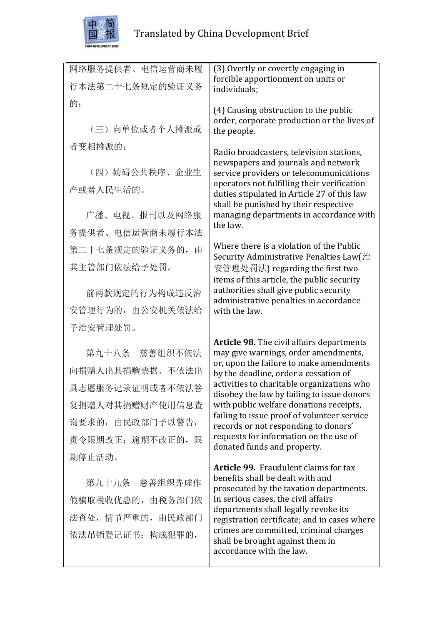

| 网络服务提供者、电信运营商未履   | (3) Overtly or covertly engaging in                                                          |
|-------------------|----------------------------------------------------------------------------------------------|
| 行本法第二十七条规定的验证义务   | forcible apportionment on units or<br>individuals;                                           |
| 的;                | (4) Causing obstruction to the public                                                        |
| (三) 向单位或者个人摊派或    | order, corporate production or the lives of<br>the people.                                   |
| 者变相摊派的;           | Radio broadcasters, television stations,                                                     |
| (四) 妨碍公共秩序、企业生    | newspapers and journals and network<br>service providers or telecommunications               |
| 产或者人民生活的。         | operators not fulfilling their verification<br>duties stipulated in Article 27 of this law   |
| 广播、电视、报刊以及网络服     | shall be punished by their respective<br>managing departments in accordance with<br>the law. |
| 务提供者、电信运营商未履行本法   |                                                                                              |
| 第二十七条规定的验证义务的,由   | Where there is a violation of the Public<br>Security Administrative Penalties Law(治          |
| 其主管部门依法给予处罚。      | 安管理处罚法) regarding the first two                                                              |
|                   | items of this article, the public security<br>authorities shall give public security         |
| 前两款规定的行为构成违反治     | administrative penalties in accordance                                                       |
| 安管理行为的, 由公安机关依法给  | with the law.                                                                                |
| 予治安管理处罚。          |                                                                                              |
| 第九十八条 慈善组织不依法     | Article 98. The civil affairs departments<br>may give warnings, order amendments,            |
| 向捐赠人出具捐赠票据、不依法出   | or, upon the failure to make amendments<br>by the deadline, order a cessation of             |
| 具志愿服务记录证明或者不依法答   | activities to charitable organizations who                                                   |
| 复捐赠人对其捐赠财产使用信息查   | disobey the law by failing to issue donors<br>with public welfare donations receipts,        |
| 询要求的, 由民政部门予以警告,  | failing to issue proof of volunteer service<br>records or not responding to donors'          |
| 责令限期改正; 逾期不改正的, 限 | requests for information on the use of                                                       |
| 期停止活动。            | donated funds and property.                                                                  |
|                   | Article 99. Fraudulent claims for tax                                                        |
| 第九十九条 慈善组织弄虚作     | benefits shall be dealt with and<br>prosecuted by the taxation departments.                  |
| 假骗取税收优惠的, 由税务部门依  | In serious cases, the civil affairs                                                          |
| 法查处, 情节严重的, 由民政部门 | departments shall legally revoke its<br>registration certificate; and in cases where         |
| 依法吊销登记证书; 构成犯罪的,  | crimes are committed, criminal charges<br>shall be brought against them in                   |
|                   | accordance with the law.                                                                     |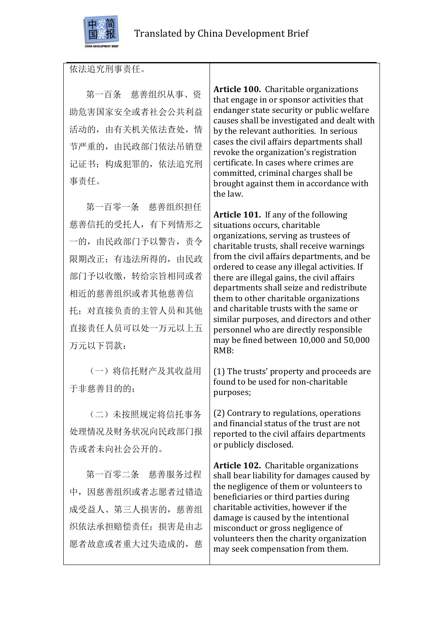

依法追究刑事责任。

第一百条 慈善组织从事、资 助危害国家安全或者社会公共利益 活动的,由有关机关依法查处,情 节严重的, 由民政部门依法吊销登 记证书;构成犯罪的,依法追究刑 事责任。

第一百零一条 慈善组织担任 慈善信托的受托人,有下列情形之 一的,由民政部门予以警告,责令 限期改正;有违法所得的,由民政 部门予以收缴,转给宗旨相同或者 相近的慈善组织或者其他慈善信 托;对直接负责的主管人员和其他 直接责任人员可以处一万元以上五 万元以下罚款:

(一)将信托财产及其收益用 于非慈善目的的;

(二)未按照规定将信托事务 处理情况及财务状况向民政部门报 告或者未向社会公开的。

第一百零二条 慈善服务过程 中,因慈善组织或者志愿者过错造 成受益人、第三人损害的,慈善组 织依法承担赔偿责任:损害是由志 愿者故意或者重大过失造成的,慈

**Article 100.** Charitable organizations that engage in or sponsor activities that endanger state security or public welfare causes shall be investigated and dealt with by the relevant authorities. In serious cases the civil affairs departments shall revoke the organization's registration certificate. In cases where crimes are committed, criminal charges shall be brought against them in accordance with the law.

**Article 101.** If any of the following situations occurs, charitable organizations, serving as trustees of charitable trusts, shall receive warnings from the civil affairs departments, and be ordered to cease any illegal activities. If there are illegal gains, the civil affairs departments shall seize and redistribute them to other charitable organizations and charitable trusts with the same or similar purposes, and directors and other personnel who are directly responsible may be fined between 10,000 and 50,000 RMB:

(1) The trusts' property and proceeds are found to be used for non-charitable purposes;

(2) Contrary to regulations, operations and financial status of the trust are not reported to the civil affairs departments or publicly disclosed.

**Article 102.** Charitable organizations shall bear liability for damages caused by the negligence of them or volunteers to beneficiaries or third parties during charitable activities, however if the damage is caused by the intentional misconduct or gross negligence of volunteers then the charity organization may seek compensation from them.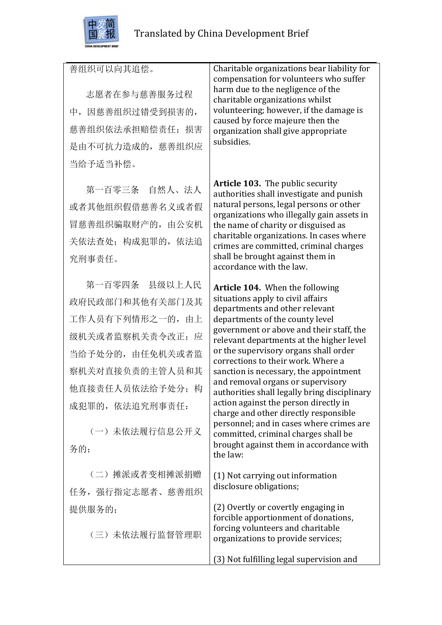

## 善组织可以向其追偿。

志愿者在参与慈善服务过程 中,因慈善组织过错受到损害的, 慈善组织依法承担赔偿责任;损害 是由不可抗力造成的,慈善组织应 当给予适当补偿。

第一百零三条 自然人、法人 或者其他组织假借慈善名义或者假 冒慈善组织骗取财产的,由公安机 关依法查处;构成犯罪的,依法追 究刑事责任。

第一百零四条 县级以上人民 政府民政部门和其他有关部门及其 工作人员有下列情形之一的,由上 级机关或者监察机关责令改正;应 当给予处分的,由任免机关或者监 察机关对直接负责的主管人员和其 他直接责任人员依法给予处分;构 成犯罪的,依法追究刑事责任:

(一)未依法履行信息公开义 务的;

(二)摊派或者变相摊派捐赠 任务,强行指定志愿者、慈善组织 提供服务的;

(三)未依法履行监督管理职

Charitable organizations bear liability for compensation for volunteers who suffer harm due to the negligence of the charitable organizations whilst volunteering; however, if the damage is caused by force majeure then the organization shall give appropriate subsidies. 

**Article 103.** The public security authorities shall investigate and punish natural persons, legal persons or other organizations who illegally gain assets in the name of charity or disguised as charitable organizations. In cases where crimes are committed, criminal charges shall be brought against them in accordance with the law.

Article 104. When the following situations apply to civil affairs departments and other relevant departments of the county level government or above and their staff, the relevant departments at the higher level or the supervisory organs shall order corrections to their work. Where a sanction is necessary, the appointment and removal organs or supervisory authorities shall legally bring disciplinary action against the person directly in charge and other directly responsible personnel; and in cases where crimes are committed, criminal charges shall be brought against them in accordance with the law:

(1) Not carrying out information disclosure obligations;

(2) Overtly or covertly engaging in forcible apportionment of donations. forcing volunteers and charitable organizations to provide services;

(3) Not fulfilling legal supervision and